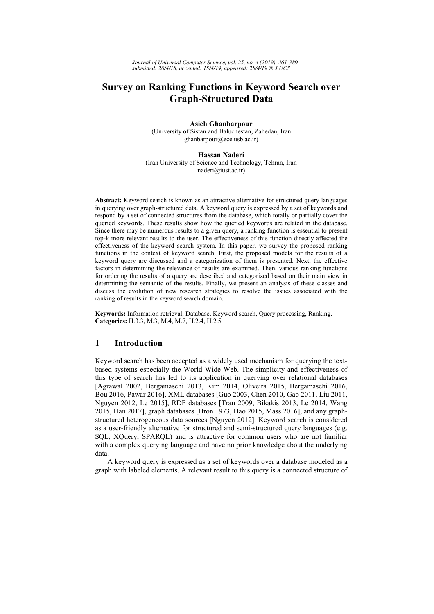# **Survey on Ranking Functions in Keyword Search over Graph-Structured Data**

**Asieh Ghanbarpour**  (University of Sistan and Baluchestan, Zahedan, Iran ghanbarpour@ece.usb.ac.ir)

**Hassan Naderi** (Iran University of Science and Technology, Tehran, Iran naderi@iust.ac.ir)

**Abstract:** Keyword search is known as an attractive alternative for structured query languages in querying over graph-structured data. A keyword query is expressed by a set of keywords and respond by a set of connected structures from the database, which totally or partially cover the queried keywords. These results show how the queried keywords are related in the database. Since there may be numerous results to a given query, a ranking function is essential to present top-k more relevant results to the user. The effectiveness of this function directly affected the effectiveness of the keyword search system. In this paper, we survey the proposed ranking functions in the context of keyword search. First, the proposed models for the results of a keyword query are discussed and a categorization of them is presented. Next, the effective factors in determining the relevance of results are examined. Then, various ranking functions for ordering the results of a query are described and categorized based on their main view in determining the semantic of the results. Finally, we present an analysis of these classes and discuss the evolution of new research strategies to resolve the issues associated with the ranking of results in the keyword search domain.

**Keywords:** Information retrieval, Database, Keyword search, Query processing, Ranking. **Categories:** H.3.3, M.3, M.4, M.7, H.2.4, H.2.5

# **1 Introduction**

Keyword search has been accepted as a widely used mechanism for querying the textbased systems especially the World Wide Web. The simplicity and effectiveness of this type of search has led to its application in querying over relational databases [Agrawal 2002, Bergamaschi 2013, Kim 2014, Oliveira 2015, Bergamaschi 2016, Bou 2016, Pawar 2016], XML databases [Guo 2003, Chen 2010, Gao 2011, Liu 2011, Nguyen 2012, Le 2015], RDF databases [Tran 2009, Bikakis 2013, Le 2014, Wang 2015, Han 2017], graph databases [Bron 1973, Hao 2015, Mass 2016], and any graphstructured heterogeneous data sources [Nguyen 2012]. Keyword search is considered as a user-friendly alternative for structured and semi-structured query languages (e.g. SQL, XQuery, SPARQL) and is attractive for common users who are not familiar with a complex querying language and have no prior knowledge about the underlying data.

A keyword query is expressed as a set of keywords over a database modeled as a graph with labeled elements. A relevant result to this query is a connected structure of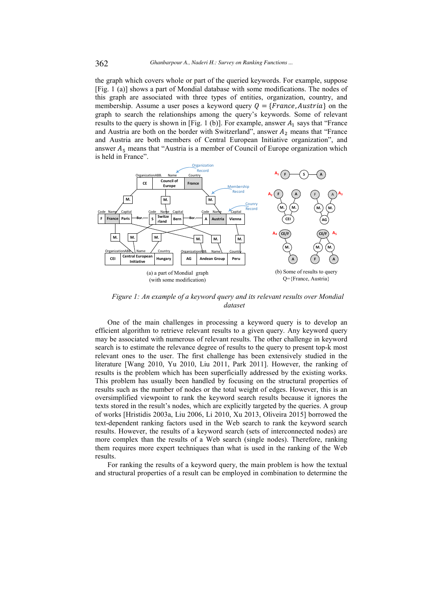the graph which covers whole or part of the queried keywords. For example, suppose [Fig. 1 (a)] shows a part of Mondial database with some modifications. The nodes of this graph are associated with three types of entities, organization, country, and membership. Assume a user poses a keyword query  $Q = \{France, Austria\}$  on the graph to search the relationships among the query's keywords. Some of relevant results to the query is shown in [Fig. 1 (b)]. For example, answer  $A_1$  says that "France and Austria are both on the border with Switzerland", answer  $A_2$  means that "France and Austria are both members of Central European Initiative organization", and answer  $A_5$  means that "Austria is a member of Council of Europe organization which is held in France".



*Figure 1: An example of a keyword query and its relevant results over Mondial dataset* 

One of the main challenges in processing a keyword query is to develop an efficient algorithm to retrieve relevant results to a given query. Any keyword query may be associated with numerous of relevant results. The other challenge in keyword search is to estimate the relevance degree of results to the query to present top-k most relevant ones to the user. The first challenge has been extensively studied in the literature [Wang 2010, Yu 2010, Liu 2011, Park 2011]. However, the ranking of results is the problem which has been superficially addressed by the existing works. This problem has usually been handled by focusing on the structural properties of results such as the number of nodes or the total weight of edges. However, this is an oversimplified viewpoint to rank the keyword search results because it ignores the texts stored in the result's nodes, which are explicitly targeted by the queries. A group of works [Hristidis 2003a, Liu 2006, Li 2010, Xu 2013, Oliveira 2015] borrowed the text-dependent ranking factors used in the Web search to rank the keyword search results. However, the results of a keyword search (sets of interconnected nodes) are more complex than the results of a Web search (single nodes). Therefore, ranking them requires more expert techniques than what is used in the ranking of the Web results.

For ranking the results of a keyword query, the main problem is how the textual and structural properties of a result can be employed in combination to determine the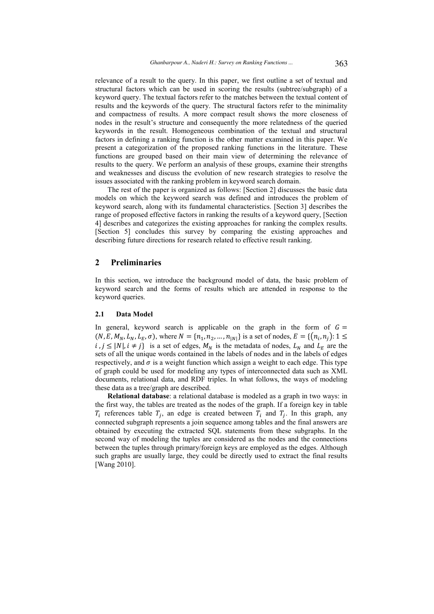relevance of a result to the query. In this paper, we first outline a set of textual and structural factors which can be used in scoring the results (subtree/subgraph) of a keyword query. The textual factors refer to the matches between the textual content of results and the keywords of the query. The structural factors refer to the minimality and compactness of results. A more compact result shows the more closeness of nodes in the result's structure and consequently the more relatedness of the queried keywords in the result. Homogeneous combination of the textual and structural factors in defining a ranking function is the other matter examined in this paper. We present a categorization of the proposed ranking functions in the literature. These functions are grouped based on their main view of determining the relevance of results to the query. We perform an analysis of these groups, examine their strengths and weaknesses and discuss the evolution of new research strategies to resolve the issues associated with the ranking problem in keyword search domain.

The rest of the paper is organized as follows: [Section 2] discusses the basic data models on which the keyword search was defined and introduces the problem of keyword search, along with its fundamental characteristics. [Section 3] describes the range of proposed effective factors in ranking the results of a keyword query, [Section 4] describes and categorizes the existing approaches for ranking the complex results. [Section 5] concludes this survey by comparing the existing approaches and describing future directions for research related to effective result ranking.

# **2 Preliminaries**

In this section, we introduce the background model of data, the basic problem of keyword search and the forms of results which are attended in response to the keyword queries.

### **2.1 Data Model**

In general, keyword search is applicable on the graph in the form of  $G =$  $(N, E, M_N, L_N, L_E, \sigma)$ , where  $N = \{n_1, n_2, ..., n_{|N|}\}$  is a set of nodes,  $E = \{(n_i, n_j): 1 \leq$  $i, j \leq |N|, i \neq j$  is a set of edges,  $M_N$  is the metadata of nodes,  $L_N$  and  $L_E$  are the sets of all the unique words contained in the labels of nodes and in the labels of edges respectively, and  $\sigma$  is a weight function which assign a weight to each edge. This type of graph could be used for modeling any types of interconnected data such as XML documents, relational data, and RDF triples. In what follows, the ways of modeling these data as a tree/graph are described.

**Relational database**: a relational database is modeled as a graph in two ways: in the first way, the tables are treated as the nodes of the graph. If a foreign key in table  $T_i$  references table  $T_j$ , an edge is created between  $T_i$  and  $T_j$ . In this graph, any connected subgraph represents a join sequence among tables and the final answers are obtained by executing the extracted SQL statements from these subgraphs. In the second way of modeling the tuples are considered as the nodes and the connections between the tuples through primary/foreign keys are employed as the edges. Although such graphs are usually large, they could be directly used to extract the final results [Wang 2010].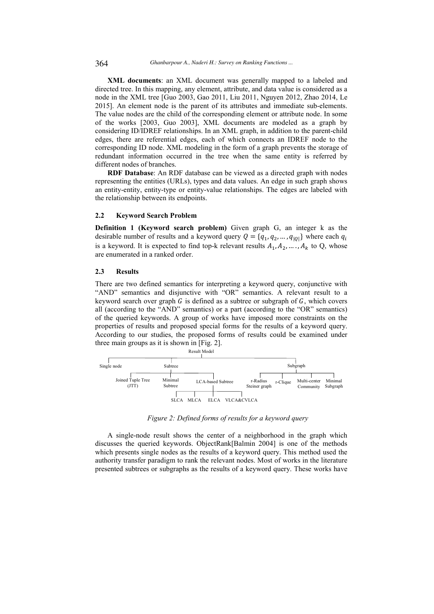**XML documents**: an XML document was generally mapped to a labeled and directed tree. In this mapping, any element, attribute, and data value is considered as a node in the XML tree [Guo 2003, Gao 2011, Liu 2011, Nguyen 2012, Zhao 2014, Le 2015]. An element node is the parent of its attributes and immediate sub-elements. The value nodes are the child of the corresponding element or attribute node. In some of the works [2003, Guo 2003], XML documents are modeled as a graph by considering ID/IDREF relationships. In an XML graph, in addition to the parent-child edges, there are referential edges, each of which connects an IDREF node to the corresponding ID node. XML modeling in the form of a graph prevents the storage of redundant information occurred in the tree when the same entity is referred by different nodes of branches.

**RDF Database**: An RDF database can be viewed as a directed graph with nodes representing the entities (URLs), types and data values. An edge in such graph shows an entity-entity, entity-type or entity-value relationships. The edges are labeled with the relationship between its endpoints.

### **2.2 Keyword Search Problem**

**Definition 1 (Keyword search problem)** Given graph G, an integer k as the desirable number of results and a keyword query  $Q = \{q_1, q_2, ..., q_{|Q|}\}\$  where each  $q_i$ is a keyword. It is expected to find top-k relevant results  $A_1, A_2, \ldots, A_k$  to Q, whose are enumerated in a ranked order.

#### **2.3 Results**

There are two defined semantics for interpreting a keyword query, conjunctive with "AND" semantics and disjunctive with "OR" semantics. A relevant result to a keyword search over graph G is defined as a subtree or subgraph of  $G$ , which covers all (according to the "AND" semantics) or a part (according to the "OR" semantics) of the queried keywords. A group of works have imposed more constraints on the properties of results and proposed special forms for the results of a keyword query. According to our studies, the proposed forms of results could be examined under three main groups as it is shown in [Fig. 2].



*Figure 2: Defined forms of results for a keyword query* 

A single-node result shows the center of a neighborhood in the graph which discusses the queried keywords. ObjectRank[Balmin 2004] is one of the methods which presents single nodes as the results of a keyword query. This method used the authority transfer paradigm to rank the relevant nodes. Most of works in the literature presented subtrees or subgraphs as the results of a keyword query. These works have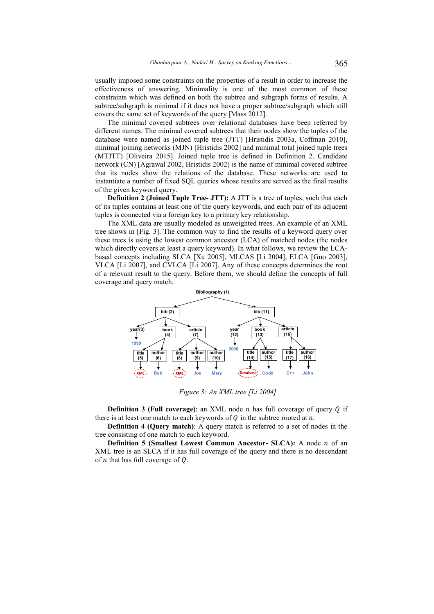usually imposed some constraints on the properties of a result in order to increase the effectiveness of answering. Minimality is one of the most common of these constraints which was defined on both the subtree and subgraph forms of results. A subtree/subgraph is minimal if it does not have a proper subtree/subgraph which still covers the same set of keywords of the query [Mass 2012].

The minimal covered subtrees over relational databases have been referred by different names. The minimal covered subtrees that their nodes show the tuples of the database were named as joined tuple tree (JTT) [Hristidis 2003a, Coffman 2010], minimal joining networks (MJN) [Hristidis 2002] and minimal total joined tuple trees (MTJTT) [Oliveira 2015]. Joined tuple tree is defined in Definition 2. Candidate network (CN) [Agrawal 2002, Hristidis 2002] is the name of minimal covered subtree that its nodes show the relations of the database. These networks are used to instantiate a number of fixed SQL queries whose results are served as the final results of the given keyword query.

**Definition 2 (Joined Tuple Tree- JTT):** A JTT is a tree of tuples, such that each of its tuples contains at least one of the query keywords, and each pair of its adjacent tuples is connected via a foreign key to a primary key relationship.

The XML data are usually modeled as unweighted trees. An example of an XML tree shows in [Fig. 3]. The common way to find the results of a keyword query over these trees is using the lowest common ancestor (LCA) of matched nodes (the nodes which directly covers at least a query keyword). In what follows, we review the LCAbased concepts including SLCA [Xu 2005], MLCAS [Li 2004], ELCA [Guo 2003], VLCA [Li 2007], and CVLCA [Li 2007]. Any of these concepts determines the root of a relevant result to the query. Before them, we should define the concepts of full coverage and query match.



*Figure 3: An XML tree [Li 2004]* 

**Definition 3 (Full coverage):** an XML node  $n$  has full coverage of query  $Q$  if there is at least one match to each keywords of  $Q$  in the subtree rooted at  $n$ .

**Definition 4 (Query match)**: A query match is referred to a set of nodes in the tree consisting of one match to each keyword.

**Definition 5 (Smallest Lowest Common Ancestor- SLCA):** A node *n* of an XML tree is an SLCA if it has full coverage of the query and there is no descendant of  $n$  that has full coverage of  $Q$ .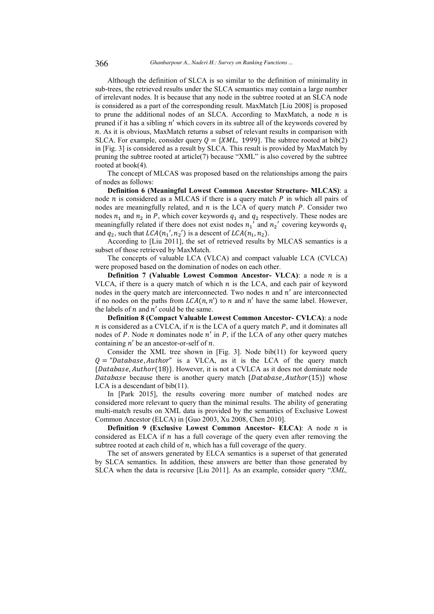Although the definition of SLCA is so similar to the definition of minimality in sub-trees, the retrieved results under the SLCA semantics may contain a large number of irrelevant nodes. It is because that any node in the subtree rooted at an SLCA node is considered as a part of the corresponding result. MaxMatch [Liu 2008] is proposed to prune the additional nodes of an SLCA. According to MaxMatch, a node  $n$  is pruned if it has a sibling  $n'$  which covers in its subtree all of the keywords covered by  $n$ . As it is obvious, MaxMatch returns a subset of relevant results in comparison with SLCA. For example, consider query  $Q = \{XML, 1999\}$ . The subtree rooted at bib(2) in [Fig. 3] is considered as a result by SLCA. This result is provided by MaxMatch by pruning the subtree rooted at article(7) because "XML" is also covered by the subtree rooted at book(4).

The concept of MLCAS was proposed based on the relationships among the pairs of nodes as follows:

**Definition 6 (Meaningful Lowest Common Ancestor Structure- MLCAS)**: a node  $n$  is considered as a MLCAS if there is a query match  $P$  in which all pairs of nodes are meaningfully related, and  $n$  is the LCA of query match  $P$ . Consider two nodes  $n_1$  and  $n_2$  in P, which cover keywords  $q_1$  and  $q_2$  respectively. These nodes are meaningfully related if there does not exist nodes  $n_1$ ' and  $n_2$ ' covering keywords  $q_1$ and  $q_2$ , such that  $LCA(n_1', n_2')$  is a descent of  $LCA(n_1, n_2)$ .

According to [Liu 2011], the set of retrieved results by MLCAS semantics is a subset of those retrieved by MaxMatch.

The concepts of valuable LCA (VLCA) and compact valuable LCA (CVLCA) were proposed based on the domination of nodes on each other.

**Definition 7 (Valuable Lowest Common Ancestor- VLCA):** a node  $n$  is a VLCA, if there is a query match of which  $n$  is the LCA, and each pair of keyword nodes in the query match are interconnected. Two nodes  $n$  and  $n'$  are interconnected if no nodes on the paths from  $LCA(n, n')$  to *n* and *n'* have the same label. However, the labels of  $n$  and  $n'$  could be the same.

**Definition 8 (Compact Valuable Lowest Common Ancestor- CVLCA)**: a node  $n$  is considered as a CVLCA, if  $n$  is the LCA of a query match  $P$ , and it dominates all nodes of P. Node  $n$  dominates node  $n'$  in P, if the LCA of any other query matches containing  $n'$  be an ancestor-or-self of n.

Consider the XML tree shown in [Fig. 3]. Node bib(11) for keyword query  $Q = "Database, Author"$  is a VLCA, as it is the LCA of the query match {Database, Author(18)}. However, it is not a CVLCA as it does not dominate node Database because there is another query match {Database, Author(15)} whose LCA is a descendant of bib(11).

In [Park 2015], the results covering more number of matched nodes are considered more relevant to query than the minimal results. The ability of generating multi-match results on XML data is provided by the semantics of Exclusive Lowest Common Ancestor (ELCA) in [Guo 2003, Xu 2008, Chen 2010].

**Definition 9 (Exclusive Lowest Common Ancestor- ELCA):** A node *n* is considered as ELCA if  $n$  has a full coverage of the query even after removing the subtree rooted at each child of  $n$ , which has a full coverage of the query.

The set of answers generated by ELCA semantics is a superset of that generated by SLCA semantics. In addition, these answers are better than those generated by SLCA when the data is recursive [Liu 2011]. As an example, consider query "*XML,*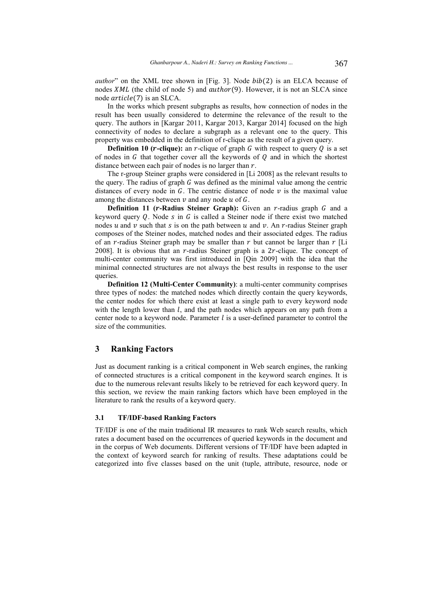*author*" on the XML tree shown in [Fig. 3]. Node  $bib(2)$  is an ELCA because of nodes  $XML$  (the child of node 5) and  $author(9)$ . However, it is not an SLCA since node  $article(7)$  is an SLCA.

In the works which present subgraphs as results, how connection of nodes in the result has been usually considered to determine the relevance of the result to the query. The authors in [Kargar 2011, Kargar 2013, Kargar 2014] focused on the high connectivity of nodes to declare a subgraph as a relevant one to the query. This property was embedded in the definition of r-clique as the result of a given query.

**Definition 10 (** $r$ **-clique):** an  $r$ -clique of graph  $G$  with respect to query  $O$  is a set of nodes in  $G$  that together cover all the keywords of  $Q$  and in which the shortest distance between each pair of nodes is no larger than  $r$ .

The r-group Steiner graphs were considered in [Li 2008] as the relevant results to the query. The radius of graph  $G$  was defined as the minimal value among the centric distances of every node in G. The centric distance of node  $\nu$  is the maximal value among the distances between  $\nu$  and any node  $u$  of  $G$ .

**Definition 11 (** $r$ **-Radius Steiner Graph):** Given an  $r$ -radius graph  $G$  and a keyword query Q. Node s in  $G$  is called a Steiner node if there exist two matched nodes u and v such that s is on the path between u and v. An r-radius Steiner graph composes of the Steiner nodes, matched nodes and their associated edges. The radius of an r-radius Steiner graph may be smaller than  $r$  but cannot be larger than  $r$  [Li 2008]. It is obvious that an  $r$ -radius Steiner graph is a  $2r$ -clique. The concept of multi-center community was first introduced in [Qin 2009] with the idea that the minimal connected structures are not always the best results in response to the user queries.

**Definition 12 (Multi-Center Community)**: a multi-center community comprises three types of nodes: the matched nodes which directly contain the query keywords, the center nodes for which there exist at least a single path to every keyword node with the length lower than  $l$ , and the path nodes which appears on any path from a center node to a keyword node. Parameter  $l$  is a user-defined parameter to control the size of the communities.

# **3 Ranking Factors**

Just as document ranking is a critical component in Web search engines, the ranking of connected structures is a critical component in the keyword search engines. It is due to the numerous relevant results likely to be retrieved for each keyword query. In this section, we review the main ranking factors which have been employed in the literature to rank the results of a keyword query.

#### **3.1 TF/IDF-based Ranking Factors**

TF/IDF is one of the main traditional IR measures to rank Web search results, which rates a document based on the occurrences of queried keywords in the document and in the corpus of Web documents. Different versions of TF/IDF have been adapted in the context of keyword search for ranking of results. These adaptations could be categorized into five classes based on the unit (tuple, attribute, resource, node or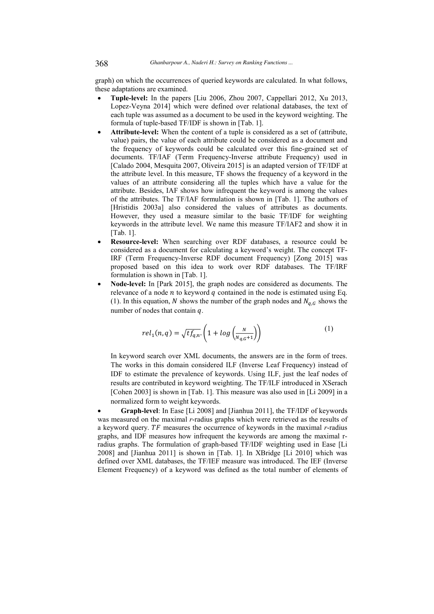graph) on which the occurrences of queried keywords are calculated. In what follows, these adaptations are examined.

- **Tuple-level:** In the papers [Liu 2006, Zhou 2007, Cappellari 2012, Xu 2013, Lopez-Veyna 2014] which were defined over relational databases, the text of each tuple was assumed as a document to be used in the keyword weighting. The formula of tuple-based TF/IDF is shown in [Tab. 1].
- Attribute-level: When the content of a tuple is considered as a set of (attribute, value) pairs, the value of each attribute could be considered as a document and the frequency of keywords could be calculated over this fine-grained set of documents. TF/IAF (Term Frequency-Inverse attribute Frequency) used in [Calado 2004, Mesquita 2007, Oliveira 2015] is an adapted version of TF/IDF at the attribute level. In this measure, TF shows the frequency of a keyword in the values of an attribute considering all the tuples which have a value for the attribute. Besides, IAF shows how infrequent the keyword is among the values of the attributes. The TF/IAF formulation is shown in [Tab. 1]. The authors of [Hristidis 2003a] also considered the values of attributes as documents. However, they used a measure similar to the basic TF/IDF for weighting keywords in the attribute level. We name this measure TF/IAF2 and show it in [Tab. 1].
- **Resource-level:** When searching over RDF databases, a resource could be considered as a document for calculating a keyword's weight. The concept TF-IRF (Term Frequency-Inverse RDF document Frequency) [Zong 2015] was proposed based on this idea to work over RDF databases. The TF/IRF formulation is shown in [Tab. 1].
- **Node-level:** In [Park 2015], the graph nodes are considered as documents. The relevance of a node  $n$  to keyword  $q$  contained in the node is estimated using Eq. (1). In this equation, N shows the number of the graph nodes and  $N_{q,G}$  shows the number of nodes that contain  $q$ .

$$
rel_1(n,q) = \sqrt{tf_{q,n}} \cdot \left(1 + \log\left(\frac{N}{N_{q,G}+1}\right)\right) \tag{1}
$$

In keyword search over XML documents, the answers are in the form of trees. The works in this domain considered ILF (Inverse Leaf Frequency) instead of IDF to estimate the prevalence of keywords. Using ILF, just the leaf nodes of results are contributed in keyword weighting. The TF/ILF introduced in XSerach [Cohen 2003] is shown in [Tab. 1]. This measure was also used in [Li 2009] in a normalized form to weight keywords.

• **Graph-level**: In Ease [Li 2008] and [Jianhua 2011], the TF/IDF of keywords was measured on the maximal *r*-radius graphs which were retrieved as the results of a keyword query.  $TF$  measures the occurrence of keywords in the maximal  $r$ -radius graphs, and IDF measures how infrequent the keywords are among the maximal rradius graphs. The formulation of graph-based TF/IDF weighting used in Ease [Li 2008] and [Jianhua 2011] is shown in [Tab. 1]. In XBridge [Li 2010] which was defined over XML databases, the TF/IEF measure was introduced. The IEF (Inverse Element Frequency) of a keyword was defined as the total number of elements of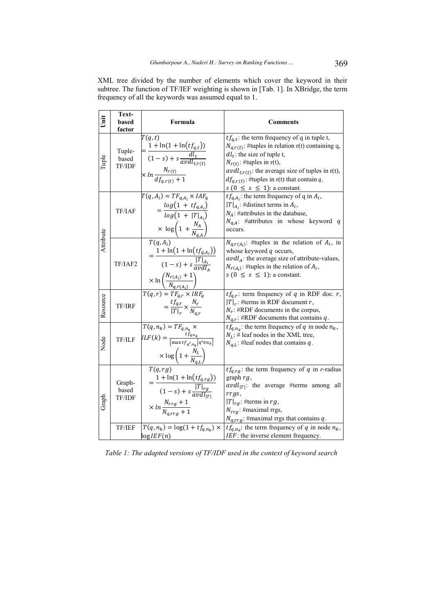| Unit      | Text-<br>based<br><u>factor</u> | Formula                                                                                                                                                                                      | <b>Comments</b>                                                                                                                                                                                                                                                                                                                |
|-----------|---------------------------------|----------------------------------------------------------------------------------------------------------------------------------------------------------------------------------------------|--------------------------------------------------------------------------------------------------------------------------------------------------------------------------------------------------------------------------------------------------------------------------------------------------------------------------------|
| Tuple     | Tuple-<br>based<br>TF/IDF       | T(q,t)<br>$=\frac{1+\ln(1+\ln(t_{q,t}))}{(1-s)+s\frac{dl_t}{avdl_{t_{r(t)}}}}$<br>$\times ln \frac{N_{r(t)}}{df_{ar(t)} + 1}$                                                                | $tf_{q,t}$ : the term frequency of q in tuple t,<br>$N_{q,r(t)}$ : #tuples in relation r(t) containing q,<br>$dl_t$ : the size of tuple t,<br>$N_{r(t)}$ : #tuples in r(t),<br>$avdl_{t,r(t)}$ : the average size of tuples in r(t),<br>$df_{q,r(t)}$ : #tuples in r(t) that contain q,<br>$s (0 \leq s \leq 1)$ : a constant. |
| Attribute | TF/IAF                          | $T(q, A_i) = TF_{q, A_i} \times IAF_q$<br>$= \frac{\log(1 + tf_{q,A_i})}{\log(1 +  T _{A_i})}$<br>$\times \log\left(1+\frac{N_A}{N_{q,A}}\right)$                                            | $tf_{q,A_i}$ : the term frequency of q in $A_i$ ,<br>$ T _{A_i}$ : #distinct terms in $A_i$ ,<br>$N_A$ : #attributes in the database,<br>$N_{q,A}$ : #attributes in whose keyword q<br>occurs.                                                                                                                                 |
|           | TF/IAF2                         | $T(q, A_i)$<br>$=\frac{1+\ln(1+\ln(t f_{q,A_i}))}{(1-s)+s\frac{ T _{A_i}}{avdl_s}}$<br>$\times \ln \left( \frac{N_{r(A_i)} + 1}{N_{q,r(A_i)}} \right)$<br>$T(q, r) = T F_{q,r} \times IRF_q$ | $N_{q,r(A_i)}$ : #tuples in the relation of $A_i$ , in<br>whose keyword $q$ occurs,<br>$avdlA$ : the average size of attribute-values,<br>$N_{r(A_i)}$ : #tuples in the relation of $A_i$ ,<br>$s (0 \leq s \leq 1)$ : a constant.                                                                                             |
| Resource  | TF/IRF                          | $=\frac{tf_{q,r}}{ \mathcal{T} _{\mathcal{F}}}\times\frac{N_r}{N_{\mathcal{F}}},$                                                                                                            | $tf_{q,r}$ : term frequency of q in RDF doc. r,<br>$ T _r$ : #terms in RDF document r,<br>$N_r$ : #RDF documents in the corpus,<br>$N_{q,r}$ : #RDF documents that contains q.                                                                                                                                                 |
| Node      | TF/ILF                          | $\overline{T(q,n_k)} = \overline{T}F_{q,n_k}$<br>$ILF(k) = \frac{tf_{q,n_k}}{\{\max tf_{q',n_k}   q' \in n_k\}}$<br>$\times \log\left(1+\frac{N_L}{N_{a,L}}\right)$                          | $tf_{q,n_k}$ : the term frequency of q in node $n_k$ ,<br>$N_L$ : # leaf nodes in the XML tree,<br>$N_{q,L}$ : #leaf nodes that contains q.                                                                                                                                                                                    |
| Graph     | Graph-<br>based<br>TF/IDF       | T(q,rg)<br>$= \frac{1 + \ln(1 + \ln(t f_{q,rg}))}{(1 - s) + s \frac{ T _{rg}}{avdl_{ T }}}$<br>$\times ln \frac{N_{rrg}+1}{N_{array}+1}$                                                     | $tf_{q,rg}$ : the term frequency of q in r-radius<br>graph $rg$ ,<br>$avdl_{ T }$ : the average #terms among all<br>$rrgs$ ,<br>$ T _{rg}$ : #terms in rg,<br>$N_{rrg}$ : #maximal rrgs,<br>$N_{q,rrg}$ : #maximal rrgs that contains q.                                                                                       |
|           | TF/IEF                          | $T(q, n_k) = \log(1 + t f_{q, n_k})$ ×<br>log IEF(n)                                                                                                                                         | $tf_{q,n_k}$ : the term frequency of q in node $n_k$ ,<br>IEF: the inverse element frequency.                                                                                                                                                                                                                                  |

XML tree divided by the number of elements which cover the keyword in their subtree. The function of TF/IEF weighting is shown in [Tab. 1]. In XBridge, the term frequency of all the keywords was assumed equal to 1.

*Table 1: The adapted versions of TF/IDF used in the context of keyword search*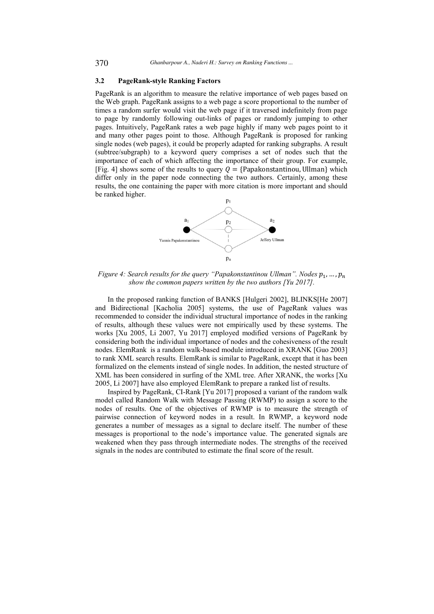# **3.2 PageRank-style Ranking Factors**

PageRank is an algorithm to measure the relative importance of web pages based on the Web graph. PageRank assigns to a web page a score proportional to the number of times a random surfer would visit the web page if it traversed indefinitely from page to page by randomly following out-links of pages or randomly jumping to other pages. Intuitively, PageRank rates a web page highly if many web pages point to it and many other pages point to those. Although PageRank is proposed for ranking single nodes (web pages), it could be properly adapted for ranking subgraphs. A result (subtree/subgraph) to a keyword query comprises a set of nodes such that the importance of each of which affecting the importance of their group. For example, [Fig. 4] shows some of the results to query  $Q = \{Papakonstantinou, Ullman\}$  which differ only in the paper node connecting the two authors. Certainly, among these results, the one containing the paper with more citation is more important and should be ranked higher.



Figure 4: Search results for the query "Papakonstantinou Ullman". Nodes  $p_1, ..., p_n$ *show the common papers written by the two authors [Yu 2017].* 

In the proposed ranking function of BANKS [Hulgeri 2002], BLINKS[He 2007] and Bidirectional [Kacholia 2005] systems, the use of PageRank values was recommended to consider the individual structural importance of nodes in the ranking of results, although these values were not empirically used by these systems. The works [Xu 2005, Li 2007, Yu 2017] employed modified versions of PageRank by considering both the individual importance of nodes and the cohesiveness of the result nodes. ElemRank is a random walk-based module introduced in XRANK [Guo 2003] to rank XML search results. ElemRank is similar to PageRank, except that it has been formalized on the elements instead of single nodes. In addition, the nested structure of XML has been considered in surfing of the XML tree. After XRANK, the works [Xu 2005, Li 2007] have also employed ElemRank to prepare a ranked list of results.

Inspired by PageRank, CI-Rank [Yu 2017] proposed a variant of the random walk model called Random Walk with Message Passing (RWMP) to assign a score to the nodes of results. One of the objectives of RWMP is to measure the strength of pairwise connection of keyword nodes in a result. In RWMP, a keyword node generates a number of messages as a signal to declare itself. The number of these messages is proportional to the node's importance value. The generated signals are weakened when they pass through intermediate nodes. The strengths of the received signals in the nodes are contributed to estimate the final score of the result.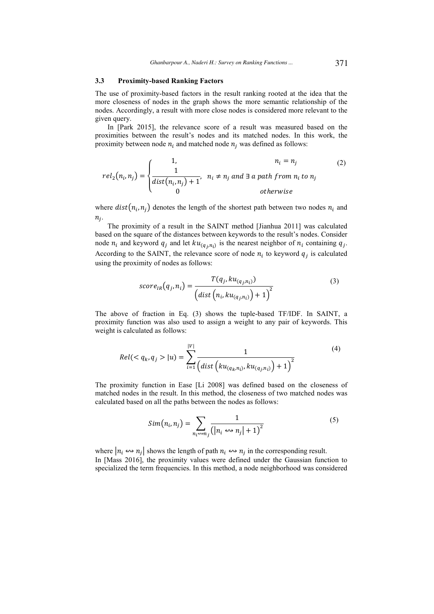### **3.3 Proximity-based Ranking Factors**

The use of proximity-based factors in the result ranking rooted at the idea that the more closeness of nodes in the graph shows the more semantic relationship of the nodes. Accordingly, a result with more close nodes is considered more relevant to the given query.

In [Park 2015], the relevance score of a result was measured based on the proximities between the result's nodes and its matched nodes. In this work, the proximity between node  $n_i$  and matched node  $n_j$  was defined as follows:

$$
rel_2(n_i, n_j) = \begin{cases} 1, & n_i = n_j \\ \frac{1}{dist(n_i, n_j) + 1}, & n_i \neq n_j \text{ and } \exists \text{ a path from } n_i \text{ to } n_j \\ 0 & \text{otherwise} \end{cases}
$$
 (2)

where  $dist(n_i, n_j)$  denotes the length of the shortest path between two nodes  $n_i$  and  $n_j$ .

The proximity of a result in the SAINT method [Jianhua 2011] was calculated based on the square of the distances between keywords to the result's nodes. Consider node  $n_i$  and keyword  $q_j$  and let  $ku_{(q_j, n_i)}$  is the nearest neighbor of  $n_i$  containing  $q_j$ . According to the SAINT, the relevance score of node  $n_i$  to keyword  $q_j$  is calculated using the proximity of nodes as follows:

$$
score_{IR}(q_j, n_i) = \frac{T(q_j, ku_{(q_j, n_i)})}{\left(dist\left(n_i, ku_{(q_j, n_i)}\right) + 1\right)^2}
$$
\n(3)

The above of fraction in Eq. (3) shows the tuple-based TF/IDF. In SAINT, a proximity function was also used to assign a weight to any pair of keywords. This weight is calculated as follows:

$$
Rel( |u) = \sum_{i=1}^{|V|} \frac{1}{\left(dist\left(ku_{(q_k,n_i)}, ku_{(q_j,n_i)}\right) + 1\right)^2}
$$
(4)

The proximity function in Ease [Li 2008] was defined based on the closeness of matched nodes in the result. In this method, the closeness of two matched nodes was calculated based on all the paths between the nodes as follows:

$$
Sim(n_i, n_j) = \sum_{n_i \leadsto n_j} \frac{1}{\left( |n_i \leadsto n_j| + 1 \right)^2} \tag{5}
$$

where  $|n_i \leftrightarrow n_j|$  shows the length of path  $n_i \leftrightarrow n_j$  in the corresponding result. In [Mass 2016], the proximity values were defined under the Gaussian function to specialized the term frequencies. In this method, a node neighborhood was considered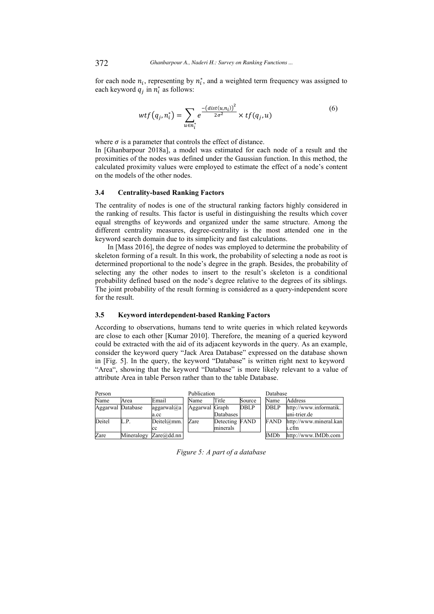for each node  $n_i$ , representing by  $n_i^*$ , and a weighted term frequency was assigned to each keyword  $q_j$  in  $n_i^*$  as follows:

$$
wtf(q_j, n_i^*) = \sum_{u \in n_i^*} e^{\frac{-(dist(u, n_i))^2}{2\sigma^2}} \times tf(q_j, u)
$$
\n<sup>(6)</sup>

where  $\sigma$  is a parameter that controls the effect of distance. In [Ghanbarpour 2018a], a model was estimated for each node of a result and the proximities of the nodes was defined under the Gaussian function. In this method, the calculated proximity values were employed to estimate the effect of a node's content on the models of the other nodes.

# **3.4 Centrality-based Ranking Factors**

The centrality of nodes is one of the structural ranking factors highly considered in the ranking of results. This factor is useful in distinguishing the results which cover equal strengths of keywords and organized under the same structure. Among the different centrality measures, degree-centrality is the most attended one in the keyword search domain due to its simplicity and fast calculations.

In [Mass 2016], the degree of nodes was employed to determine the probability of skeleton forming of a result. In this work, the probability of selecting a node as root is determined proportional to the node's degree in the graph. Besides, the probability of selecting any the other nodes to insert to the result's skeleton is a conditional probability defined based on the node's degree relative to the degrees of its siblings. The joint probability of the result forming is considered as a query-independent score for the result.

# **3.5 Keyword interdependent-based Ranking Factors**

According to observations, humans tend to write queries in which related keywords are close to each other [Kumar 2010]. Therefore, the meaning of a queried keyword could be extracted with the aid of its adjacent keywords in the query. As an example, consider the keyword query "Jack Area Database" expressed on the database shown in [Fig. 5]. In the query, the keyword "Database" is written right next to keyword "Area", showing that the keyword "Database" is more likely relevant to a value of attribute Area in table Person rather than to the table Database.

| Person            |            |                  | Publication    |                |             | Database    |                        |
|-------------------|------------|------------------|----------------|----------------|-------------|-------------|------------------------|
| Name              | Area       | Email            | Name           | Title          | Source      | Name        | Address                |
| Aggarwal Database |            | aggarwal@a       | Aggarwal Graph |                | <b>DBLP</b> | <b>DBLP</b> | http://www.informatik. |
|                   |            | a.cc             |                | Databases      |             |             | uni-trier.de           |
| Deitel            | L.P.       | Deitel@mm.       | Zare           | Detecting FAND |             | <b>FAND</b> | http://www.mineral.kan |
|                   |            | cc               |                | minerals       |             |             | i.cfm                  |
| Zare              | Mineralogy | Zare $(a)$ dd.nn |                |                |             | IMDb        | http://www.IMDb.com    |

*Figure 5: A part of a database*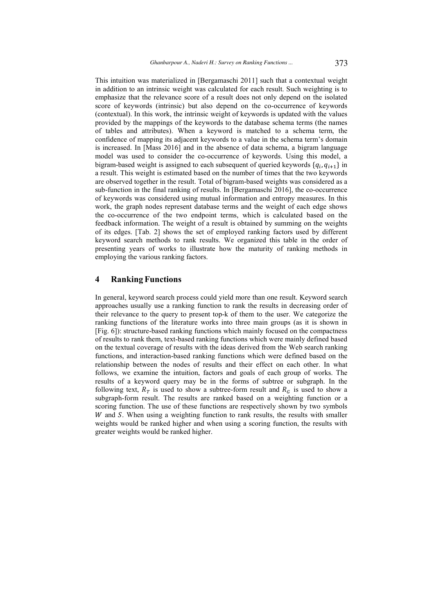This intuition was materialized in [Bergamaschi 2011] such that a contextual weight in addition to an intrinsic weight was calculated for each result. Such weighting is to emphasize that the relevance score of a result does not only depend on the isolated score of keywords (intrinsic) but also depend on the co-occurrence of keywords (contextual). In this work, the intrinsic weight of keywords is updated with the values provided by the mappings of the keywords to the database schema terms (the names of tables and attributes). When a keyword is matched to a schema term, the confidence of mapping its adjacent keywords to a value in the schema term's domain is increased. In [Mass 2016] and in the absence of data schema, a bigram language model was used to consider the co-occurrence of keywords. Using this model, a bigram-based weight is assigned to each subsequent of queried keywords  $\{q_i, q_{i+1}\}$  in a result. This weight is estimated based on the number of times that the two keywords are observed together in the result. Total of bigram-based weights was considered as a sub-function in the final ranking of results. In [Bergamaschi 2016], the co-occurrence of keywords was considered using mutual information and entropy measures. In this work, the graph nodes represent database terms and the weight of each edge shows the co-occurrence of the two endpoint terms, which is calculated based on the feedback information. The weight of a result is obtained by summing on the weights of its edges. [Tab. 2] shows the set of employed ranking factors used by different keyword search methods to rank results. We organized this table in the order of presenting years of works to illustrate how the maturity of ranking methods in employing the various ranking factors.

# **4 Ranking Functions**

In general, keyword search process could yield more than one result. Keyword search approaches usually use a ranking function to rank the results in decreasing order of their relevance to the query to present top-k of them to the user. We categorize the ranking functions of the literature works into three main groups (as it is shown in [Fig. 6]): structure-based ranking functions which mainly focused on the compactness of results to rank them, text-based ranking functions which were mainly defined based on the textual coverage of results with the ideas derived from the Web search ranking functions, and interaction-based ranking functions which were defined based on the relationship between the nodes of results and their effect on each other. In what follows, we examine the intuition, factors and goals of each group of works. The results of a keyword query may be in the forms of subtree or subgraph. In the following text,  $R<sub>T</sub>$  is used to show a subtree-form result and  $R<sub>G</sub>$  is used to show a subgraph-form result. The results are ranked based on a weighting function or a scoring function. The use of these functions are respectively shown by two symbols  $W$  and  $S$ . When using a weighting function to rank results, the results with smaller weights would be ranked higher and when using a scoring function, the results with greater weights would be ranked higher.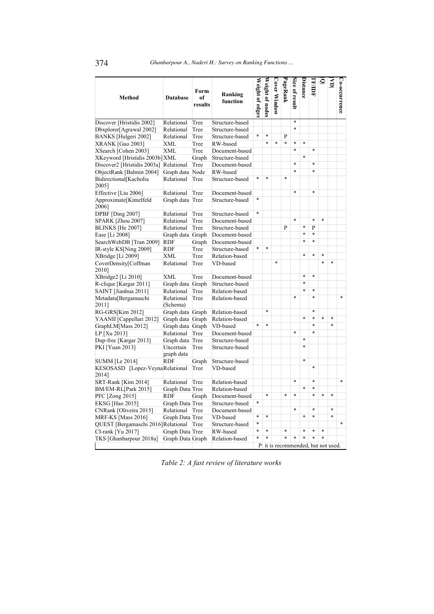| <b>Method</b>                            | <b>Database</b>         | Form<br>of<br>results | Ranking<br>function | Weight of edges | Weight of nodes | Cover Window | PageRank | Size of result | Distance                            | <b>TR/IDF</b> | <u>ত</u> | $\overline{\mathsf{s}}$ | Co-occurrence |
|------------------------------------------|-------------------------|-----------------------|---------------------|-----------------|-----------------|--------------|----------|----------------|-------------------------------------|---------------|----------|-------------------------|---------------|
| Discover [Hristidis 2002]                | Relational              | Tree                  | Structure-based     |                 |                 |              |          | $\ast$         |                                     |               |          |                         |               |
| Dbxplorer[Agrawal 2002]                  | Relational              | Tree                  | Structure-based     |                 |                 |              |          | $\ast$         |                                     |               |          |                         |               |
| BANKS [Hulgeri 2002]                     | Relational              | Tree                  | Structure-based     | $\ast$          | $\ast$          |              | P        |                |                                     |               |          |                         |               |
| <b>XRANK [Guo 2003]</b>                  | <b>XML</b>              | Tree                  | RW-based            |                 | *               | $\ast$       | $\ast$   | $\ast$         | $\ast$                              |               |          |                         |               |
| XSearch [Cohen 2003]                     | <b>XML</b>              | Tree                  | Document-based      |                 |                 |              |          | $\ast$         |                                     | $\ast$        |          |                         |               |
| XKeyword [Hristidis 2003b] XML           |                         | Graph                 | Structure-based     |                 |                 |              |          |                | $\ast$                              |               |          |                         |               |
| Discover2 [Hristidis 2003a] Relational   |                         | Tree                  | Document-based      |                 |                 |              |          | $\ast$         |                                     | $\ast$        |          |                         |               |
| ObjectRank [Balmin 2004]                 | Graph data              | Node                  | RW-based            |                 |                 |              |          | $\ast$         |                                     | $\ast$        |          |                         |               |
| Bidirectional[Kacholia<br>2005]          | Relational              | Tree                  | Structure-based     | $\ast$          | *               |              | $\ast$   |                |                                     |               |          |                         |               |
| Effective [Liu 2006]                     | Relational              | Tree                  | Document-based      |                 |                 |              |          | $\ast$         |                                     | $\ast$        |          |                         |               |
| Approximate[Kimelfeld<br>2006]           | Graph data Tree         |                       | Structure-based     | $\ast$          |                 |              |          |                |                                     |               |          |                         |               |
| <b>DPBF</b> [Ding 2007]                  | Relational              | Tree                  | Structure-based     | $\ast$          |                 |              |          |                |                                     |               |          |                         |               |
| <b>SPARK</b> [Zhou 2007]                 | Relational              | Tree                  | Document-based      |                 |                 |              |          | $\ast$         |                                     | $\ast$        | $\ast$   |                         |               |
| <b>BLINKS</b> [He 2007]                  | Relational              | Tree                  | Structure-based     |                 |                 |              | P        |                | $\ast$                              | P             |          |                         |               |
| Ease [Li 2008]                           | Graph data Graph        |                       | Document-based      |                 |                 |              |          |                | $\ast$                              | $\ast$        |          |                         |               |
| SearchWebDB [Tran 2009]                  | <b>RDF</b>              | Graph                 | Document-based      |                 |                 |              |          |                | $\ast$                              | $\ast$        |          |                         |               |
| IR-style KS[Ning 2009]                   | <b>RDF</b>              | Tree                  | Structure-based     | $\ast$          | $\ast$          |              |          |                |                                     |               |          |                         |               |
| XBridge [Li 2009]                        | <b>XML</b>              | Tree                  | Relation-based      |                 |                 |              |          |                | $\ast$                              | $\ast$        | $\ast$   |                         |               |
| CoverDensity[Coffman<br>2010]            | Relational              | Tree                  | VD-based            |                 |                 | $\ast$       |          |                |                                     |               | $\ast$   | $\ast$                  |               |
| XBridge2 [Li 2010]                       | <b>XML</b>              | Tree                  | Document-based      |                 |                 |              |          |                | $\ast$                              | $\ast$        |          |                         |               |
| R-clique [Kargar 2011]                   | Graph data              | Graph                 | Structure-based     |                 |                 |              |          |                | $\ast$                              |               |          |                         |               |
| SAINT [Jianhua 2011]                     | Relational              | Tree                  | Relation-based      |                 |                 |              |          |                | $\ast$                              | $\ast$        |          |                         |               |
| Metadata[Bergamaschi<br>2011]            | Relational<br>(Schema)  | Tree                  | Relation-based      |                 |                 |              |          | $\ast$         |                                     | $\ast$        |          |                         | $\ast$        |
| RG-GRS[Kim 2012]                         | Graph data Graph        |                       | Relation-based      |                 | *               |              |          |                |                                     | $\ast$        |          |                         |               |
| YAANII [Cappellari 2012]                 | Graph data              | Graph                 | Relation-based      |                 |                 |              |          |                | $\ast$                              | *             | $\ast$   | *                       |               |
| GraphLM[Mass 2012]                       | Graph data              | Graph                 | VD-based            | $\ast$          | $\ast$          |              |          |                |                                     | $\ast$        |          | $\ast$                  |               |
| LP [Xu 2013]                             | Relational              | Tree                  | Document-based      |                 |                 |              |          | $\ast$         |                                     | $\ast$        |          |                         |               |
| Dup-free [Kargar 2013]                   | Graph data Tree         |                       | Structure-based     |                 |                 |              |          |                | $\ast$                              |               |          |                         |               |
| PKI [Yuan 2013]                          | Uncertain<br>graph data | Tree                  | Structure-based     |                 |                 |              |          |                | $\ast$                              |               |          |                         |               |
| <b>SUMM</b> [Le 2014]                    | <b>RDF</b>              | Graph                 | Structure-based     |                 |                 |              |          |                | $\ast$                              |               |          |                         |               |
| KESOSASD [Lopez-VeynaRelational<br>2014] |                         | Tree                  | VD-based            |                 |                 |              |          |                |                                     | $\ast$        |          |                         |               |
| SRT-Rank [Kim 2014]                      | Relational              | Tree                  | Relation-based      |                 |                 |              |          | $\ast$         |                                     | $\ast$        |          |                         | $\ast$        |
| BM/EM-RL[Park 2015]                      | Graph Data Tree         |                       | Relation-based      |                 |                 |              |          |                | $\ast$                              | $\ast$        |          |                         |               |
| PFC [Zong 2015]                          | <b>RDF</b>              | Graph                 | Document-based      |                 | $\ast$          |              | $\ast$   | $\ast$         |                                     | $\ast$        | $\ast$   | $\ast$                  |               |
| EKSG [Hao 2015]                          | Graph Data Tree         |                       | Structure-based     | $\ast$          |                 |              |          |                |                                     |               |          |                         |               |
| CNRank [Oliveira 2015]                   | Relational              | Tree                  | Document-based      |                 |                 |              |          | $\ast$         |                                     | $\ast$        |          | $\ast$                  |               |
| MRF-KS [Mass 2016]                       | Graph Data Tree         |                       | VD-based            | $\ast$          | $\ast$          |              |          |                | $\ast$                              | $\ast$        |          | $\ast$                  |               |
| QUEST [Bergamaschi 2016] Relational      |                         | Tree                  | Structure-based     | $\ast$          |                 |              |          |                |                                     |               |          |                         | $\ast$        |
| CI-rank [Yu 2017]                        | Graph Data Tree         |                       | RW-based            | $\ast$          | $\ast$          |              | $\ast$   |                | $\ast$                              | $\ast$        | $\ast$   |                         |               |
| TKS [Ghanbarpour 2018a]                  | Graph Data Graph        |                       | Relation-based      | $\ast$          | *               |              | $\ast$   | $\ast$         | $\ast$                              | $\ast$        | $\ast$   |                         |               |
|                                          |                         |                       |                     |                 |                 |              |          |                | P: it is recommended, but not used. |               |          |                         |               |

*Table 2: A fast review of literature works*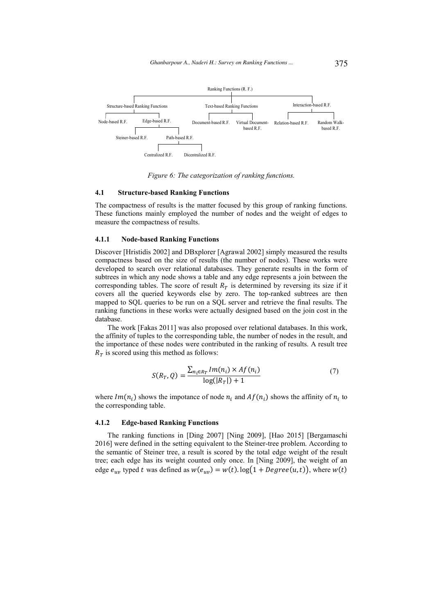

*Figure 6: The categorization of ranking functions.* 

#### **4.1 Structure-based Ranking Functions**

The compactness of results is the matter focused by this group of ranking functions. These functions mainly employed the number of nodes and the weight of edges to measure the compactness of results.

### **4.1.1 Node-based Ranking Functions**

Discover [Hristidis 2002] and DBxplorer [Agrawal 2002] simply measured the results compactness based on the size of results (the number of nodes). These works were developed to search over relational databases. They generate results in the form of subtrees in which any node shows a table and any edge represents a join between the corresponding tables. The score of result  $R<sub>T</sub>$  is determined by reversing its size if it covers all the queried keywords else by zero. The top-ranked subtrees are then mapped to SQL queries to be run on a SQL server and retrieve the final results. The ranking functions in these works were actually designed based on the join cost in the database.

The work [Fakas 2011] was also proposed over relational databases. In this work, the affinity of tuples to the corresponding table, the number of nodes in the result, and the importance of these nodes were contributed in the ranking of results. A result tree  $R<sub>T</sub>$  is scored using this method as follows:

$$
S(R_T, Q) = \frac{\sum_{n_i \in R_T} Im(n_i) \times Af(n_i)}{\log(|R_T|) + 1}
$$
\n<sup>(7)</sup>

where  $Im(n_i)$  shows the impotance of node  $n_i$  and  $Af(n_i)$  shows the affinity of  $n_i$  to the corresponding table.

#### **4.1.2 Edge-based Ranking Functions**

The ranking functions in [Ding 2007] [Ning 2009], [Hao 2015] [Bergamaschi 2016] were defined in the setting equivalent to the Steiner-tree problem. According to the semantic of Steiner tree, a result is scored by the total edge weight of the result tree; each edge has its weight counted only once. In [Ning 2009], the weight of an edge  $e_{uv}$  typed t was defined as  $w(e_{uv}) = w(t) \cdot \log(1 + \text{Degree}(u, t))$ , where  $w(t)$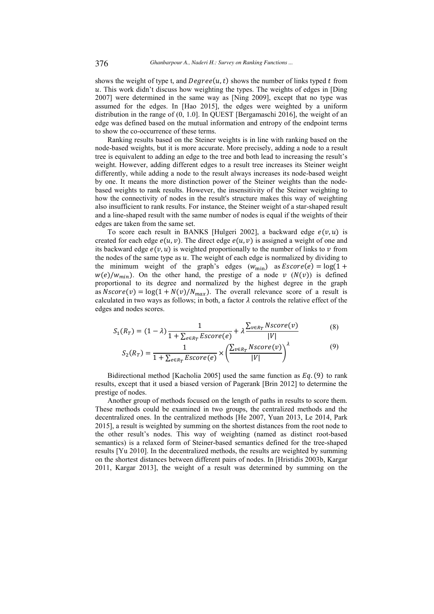shows the weight of type t, and  $Degree(u, t)$  shows the number of links typed t from  $u$ . This work didn't discuss how weighting the types. The weights of edges in [Ding] 2007] were determined in the same way as [Ning 2009], except that no type was assumed for the edges. In [Hao 2015], the edges were weighted by a uniform distribution in the range of (0, 1.0]. In QUEST [Bergamaschi 2016], the weight of an edge was defined based on the mutual information and entropy of the endpoint terms to show the co-occurrence of these terms.

Ranking results based on the Steiner weights is in line with ranking based on the node-based weights, but it is more accurate. More precisely, adding a node to a result tree is equivalent to adding an edge to the tree and both lead to increasing the result's weight. However, adding different edges to a result tree increases its Steiner weight differently, while adding a node to the result always increases its node-based weight by one. It means the more distinction power of the Steiner weights than the nodebased weights to rank results. However, the insensitivity of the Steiner weighting to how the connectivity of nodes in the result's structure makes this way of weighting also insufficient to rank results. For instance, the Steiner weight of a star-shaped result and a line-shaped result with the same number of nodes is equal if the weights of their edges are taken from the same set.

To score each result in BANKS [Hulgeri 2002], a backward edge  $e(v, u)$  is created for each edge  $e(u, v)$ . The direct edge  $e(u, v)$  is assigned a weight of one and its backward edge  $e(v, u)$  is weighted proportionally to the number of links to v from the nodes of the same type as  $u$ . The weight of each edge is normalized by dividing to the minimum weight of the graph's edges  $(w_{\text{min}})$  as  $\text{Escore}(e) = \log(1 +$  $w(e)/w_{min}$ ). On the other hand, the prestige of a node  $v$  ( $N(v)$ ) is defined proportional to its degree and normalized by the highest degree in the graph as  $Nscore(v) = log(1 + N(v)/N_{max})$ . The overall relevance score of a result is calculated in two ways as follows; in both, a factor  $\lambda$  controls the relative effect of the edges and nodes scores.

$$
S_1(R_T) = (1 - \lambda) \frac{1}{1 + \sum_{e \in R_T} Escore(e)} + \lambda \frac{\sum_{v \in R_T} Nscore(v)}{|V|}
$$
(8)

$$
S_2(R_T) = \frac{1}{1 + \sum_{e \in R_T} Escore(e)} \times \left(\frac{\sum_{v \in R_T} Nscore(v)}{|V|}\right)^{\lambda}
$$
(9)

Bidirectional method [Kacholia 2005] used the same function as  $Eq. (9)$  to rank results, except that it used a biased version of Pagerank [Brin 2012] to determine the prestige of nodes.

Another group of methods focused on the length of paths in results to score them. These methods could be examined in two groups, the centralized methods and the decentralized ones. In the centralized methods [He 2007, Yuan 2013, Le 2014, Park 2015], a result is weighted by summing on the shortest distances from the root node to the other result's nodes. This way of weighting (named as distinct root-based semantics) is a relaxed form of Steiner-based semantics defined for the tree-shaped results [Yu 2010]. In the decentralized methods, the results are weighted by summing on the shortest distances between different pairs of nodes. In [Hristidis 2003b, Kargar 2011, Kargar 2013], the weight of a result was determined by summing on the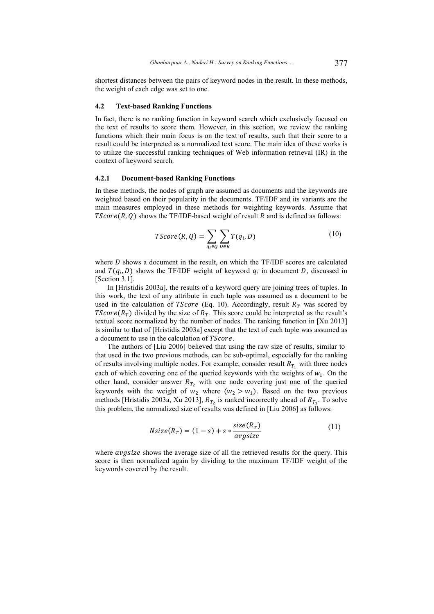shortest distances between the pairs of keyword nodes in the result. In these methods, the weight of each edge was set to one.

#### **4.2 Text-based Ranking Functions**

In fact, there is no ranking function in keyword search which exclusively focused on the text of results to score them. However, in this section, we review the ranking functions which their main focus is on the text of results, such that their score to a result could be interpreted as a normalized text score. The main idea of these works is to utilize the successful ranking techniques of Web information retrieval (IR) in the context of keyword search.

### **4.2.1 Document-based Ranking Functions**

In these methods, the nodes of graph are assumed as documents and the keywords are weighted based on their popularity in the documents. TF/IDF and its variants are the main measures employed in these methods for weighting keywords. Assume that  $TScore(R, Q)$  shows the TF/IDF-based weight of result R and is defined as follows:

$$
TScore(R,Q) = \sum_{q_i \in Q} \sum_{D \in R} T(q_i, D)
$$
\n(10)

where  $D$  shows a document in the result, on which the TF/IDF scores are calculated and  $T(q_i, D)$  shows the TF/IDF weight of keyword  $q_i$  in document D, discussed in [Section 3.1].

In [Hristidis 2003a], the results of a keyword query are joining trees of tuples. In this work, the text of any attribute in each tuple was assumed as a document to be used in the calculation of *TScore* (Eq. 10). Accordingly, result  $R<sub>T</sub>$  was scored by *TScore*( $R<sub>T</sub>$ ) divided by the size of  $R<sub>T</sub>$ . This score could be interpreted as the result's textual score normalized by the number of nodes. The ranking function in [Xu 2013] is similar to that of [Hristidis 2003a] except that the text of each tuple was assumed as a document to use in the calculation of TScore.

The authors of [Liu 2006] believed that using the raw size of results, similar to that used in the two previous methods, can be sub-optimal, especially for the ranking of results involving multiple nodes. For example, consider result  $R_{T_1}$  with three nodes each of which covering one of the queried keywords with the weights of  $w_1$ . On the other hand, consider answer  $R_{T_2}$  with one node covering just one of the queried keywords with the weight of  $w_2$  where  $(w_2 > w_1)$ . Based on the two previous methods [Hristidis 2003a, Xu 2013],  $R_{T_2}$  is ranked incorrectly ahead of  $R_{T_1}$ . To solve this problem, the normalized size of results was defined in [Liu 2006] as follows:

$$
Nsize(R_T) = (1 - s) + s * \frac{size(R_T)}{avgsize}
$$
\n(11)

where *avgsize* shows the average size of all the retrieved results for the query. This score is then normalized again by dividing to the maximum TF/IDF weight of the keywords covered by the result.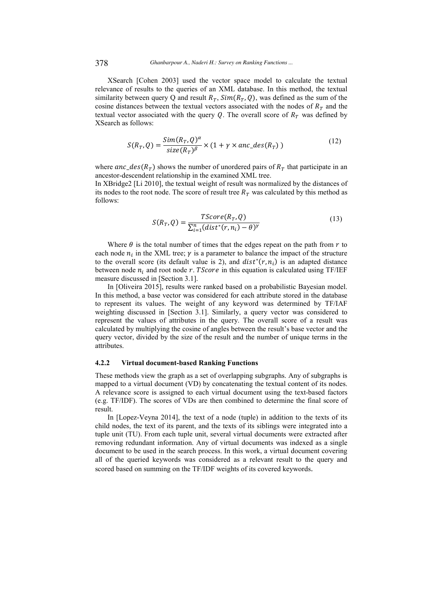XSearch [Cohen 2003] used the vector space model to calculate the textual relevance of results to the queries of an XML database. In this method, the textual similarity between query Q and result  $R_T$ ,  $Sim(R_T, Q)$ , was defined as the sum of the cosine distances between the textual vectors associated with the nodes of  $R<sub>T</sub>$  and the textual vector associated with the query Q. The overall score of  $R<sub>T</sub>$  was defined by XSearch as follows:

$$
S(R_T, Q) = \frac{Sim(R_T, Q)^{\alpha}}{size(R_T)^{\beta}} \times (1 + \gamma \times anc\_des(R_T))
$$
\n(12)

where  $anc\_des(R_T)$  shows the number of unordered pairs of  $R_T$  that participate in an ancestor-descendent relationship in the examined XML tree. In XBridge2 [Li 2010], the textual weight of result was normalized by the distances of its nodes to the root node. The score of result tree  $R<sub>T</sub>$  was calculated by this method as follows:

$$
S(R_T, Q) = \frac{TScore(R_T, Q)}{\sum_{i=1}^n (dist^*(r, n_i) - \theta)^\gamma}
$$
(13)

Where  $\theta$  is the total number of times that the edges repeat on the path from r to each node  $n_i$  in the XML tree;  $\gamma$  is a parameter to balance the impact of the structure to the overall score (its default value is 2), and  $dist^*(r, n_i)$  is an adapted distance between node  $n_i$  and root node r. TScore in this equation is calculated using TF/IEF measure discussed in [Section 3.1].

In [Oliveira 2015], results were ranked based on a probabilistic Bayesian model. In this method, a base vector was considered for each attribute stored in the database to represent its values. The weight of any keyword was determined by TF/IAF weighting discussed in [Section 3.1]. Similarly, a query vector was considered to represent the values of attributes in the query. The overall score of a result was calculated by multiplying the cosine of angles between the result's base vector and the query vector, divided by the size of the result and the number of unique terms in the attributes.

## **4.2.2 Virtual document-based Ranking Functions**

These methods view the graph as a set of overlapping subgraphs. Any of subgraphs is mapped to a virtual document (VD) by concatenating the textual content of its nodes. A relevance score is assigned to each virtual document using the text-based factors (e.g. TF/IDF). The scores of VDs are then combined to determine the final score of result.

In [Lopez-Veyna 2014], the text of a node (tuple) in addition to the texts of its child nodes, the text of its parent, and the texts of its siblings were integrated into a tuple unit (TU). From each tuple unit, several virtual documents were extracted after removing redundant information. Any of virtual documents was indexed as a single document to be used in the search process. In this work, a virtual document covering all of the queried keywords was considered as a relevant result to the query and scored based on summing on the TF/IDF weights of its covered keywords.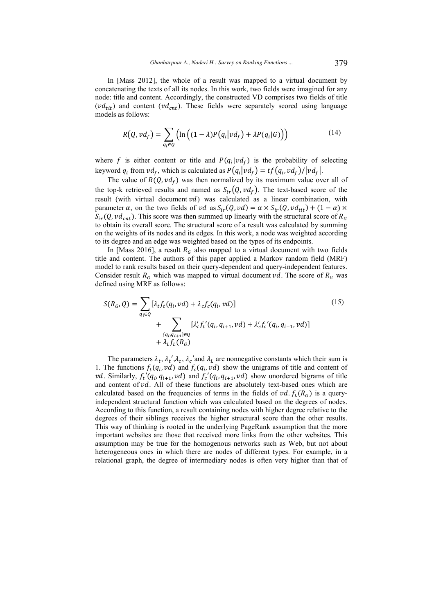In [Mass 2012], the whole of a result was mapped to a virtual document by concatenating the texts of all its nodes. In this work, two fields were imagined for any node: title and content. Accordingly, the constructed VD comprises two fields of title  $(vd_{tit})$  and content  $(vd_{cnt})$ . These fields were separately scored using language models as follows:

$$
R(Q, vd_f) = \sum_{q_i \in Q} \left( \ln\left( (1-\lambda)P(q_i|vd_f) + \lambda P(q_i|G) \right) \right) \tag{14}
$$

where f is either content or title and  $P(q_i|vd_f)$  is the probability of selecting keyword  $q_i$  from  $vd_f$ , which is calculated as  $P(q_i|vd_f) = tf(q_i, vd_f)/|vd_f|$ .

The value of  $R(Q, vd_f)$  was then normalized by its maximum value over all of the top-k retrieved results and named as  $S_{ir}(Q, vd_f)$ . The text-based score of the result (with virtual document  $vd$ ) was calculated as a linear combination, with parameter  $\alpha$ , on the two fields of vd as  $S_{ir}(Q, vd) = \alpha \times S_{ir}(Q, vd_{tit}) + (1 - \alpha) \times$  $S_{ir}(Q, vd_{cnt})$ . This score was then summed up linearly with the structural score of  $R_G$ to obtain its overall score. The structural score of a result was calculated by summing on the weights of its nodes and its edges. In this work, a node was weighted according to its degree and an edge was weighted based on the types of its endpoints.

In [Mass 2016], a result  $R_G$  also mapped to a virtual document with two fields title and content. The authors of this paper applied a Markov random field (MRF) model to rank results based on their query-dependent and query-independent features. Consider result  $R_G$  which was mapped to virtual document vd. The score of  $R_G$  was defined using MRF as follows:

$$
S(R_G, Q) = \sum_{q_i \in Q} [\lambda_t f_t(q_i, vd) + \lambda_c f_c(q_i, vd)]
$$
  
+ 
$$
\sum_{\substack{q_i, q_{i+1} \in Q \\ \{q_i, q_{i+1}\} \in Q}} [\lambda'_t f_t'(q_i, q_{i+1}, vd) + \lambda'_c f_c'(q_i, q_{i+1}, vd)]
$$
  
+ 
$$
\lambda_t f_L(R_G)
$$
 (15)

The parameters  $\lambda_t$ ,  $\lambda_t'$ ,  $\lambda_c$ ,  $\lambda_c'$  and  $\lambda_t$  are nonnegative constants which their sum is 1. The functions  $f_t(q_i, vd)$  and  $f_c(q_i, vd)$  show the unigrams of title and content of *vd.* Similarly,  $f_t'(q_i, q_{i+1}, \nu d)$  and  $f_c'(q_i, q_{i+1}, \nu d)$  show unordered bigrams of title and content of  $vd$ . All of these functions are absolutely text-based ones which are calculated based on the frequencies of terms in the fields of  $vd. f_L(R_G)$  is a queryindependent structural function which was calculated based on the degrees of nodes. According to this function, a result containing nodes with higher degree relative to the degrees of their siblings receives the higher structural score than the other results. This way of thinking is rooted in the underlying PageRank assumption that the more important websites are those that received more links from the other websites. This assumption may be true for the homogenous networks such as Web, but not about heterogeneous ones in which there are nodes of different types. For example, in a relational graph, the degree of intermediary nodes is often very higher than that of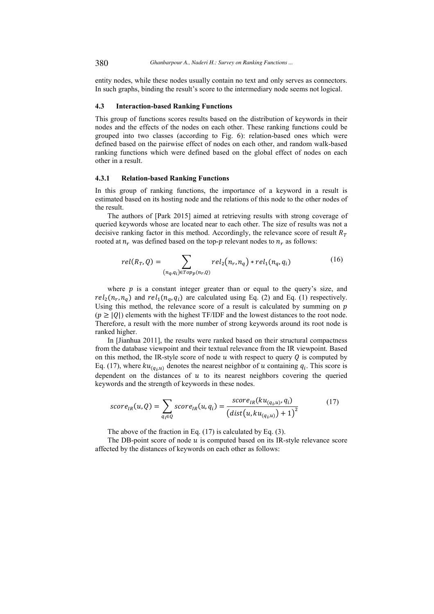entity nodes, while these nodes usually contain no text and only serves as connectors. In such graphs, binding the result's score to the intermediary node seems not logical.

### **4.3 Interaction-based Ranking Functions**

This group of functions scores results based on the distribution of keywords in their nodes and the effects of the nodes on each other. These ranking functions could be grouped into two classes (according to Fig. 6): relation-based ones which were defined based on the pairwise effect of nodes on each other, and random walk-based ranking functions which were defined based on the global effect of nodes on each other in a result.

### **4.3.1 Relation-based Ranking Functions**

In this group of ranking functions, the importance of a keyword in a result is estimated based on its hosting node and the relations of this node to the other nodes of the result.

The authors of [Park 2015] aimed at retrieving results with strong coverage of queried keywords whose are located near to each other. The size of results was not a decisive ranking factor in this method. Accordingly, the relevance score of result  $R_T$ rooted at  $n_r$  was defined based on the top- $p$  relevant nodes to  $n_r$  as follows:

$$
rel(R_T, Q) = \sum_{(n_q, q_i) \in Top_p(n_r, Q)} rel_2(n_r, n_q) * rel_1(n_q, q_i)
$$
 (16)

where  $p$  is a constant integer greater than or equal to the query's size, and  $rel_2(n_r, n_q)$  and  $rel_1(n_q, q_i)$  are calculated using Eq. (2) and Eq. (1) respectively. Using this method, the relevance score of a result is calculated by summing on  $p$  $(p \geq |0|)$  elements with the highest TF/IDF and the lowest distances to the root node. Therefore, a result with the more number of strong keywords around its root node is ranked higher.

In [Jianhua 2011], the results were ranked based on their structural compactness from the database viewpoint and their textual relevance from the IR viewpoint. Based on this method, the IR-style score of node  $u$  with respect to query  $Q$  is computed by Eq. (17), where  $ku_{(q_i,u)}$  denotes the nearest neighbor of u containing  $q_i$ . This score is dependent on the distances of  $u$  to its nearest neighbors covering the queried keywords and the strength of keywords in these nodes.

$$
score_{IR}(u, Q) = \sum_{q_i \in Q} score_{IR}(u, q_i) = \frac{score_{IR}(ku_{(q_i, u)}, q_i)}{(dist(u, ku_{(q_i, u)}) + 1)^2}
$$
(17)

The above of the fraction in Eq. (17) is calculated by Eq. (3).

The DB-point score of node  $u$  is computed based on its IR-style relevance score affected by the distances of keywords on each other as follows: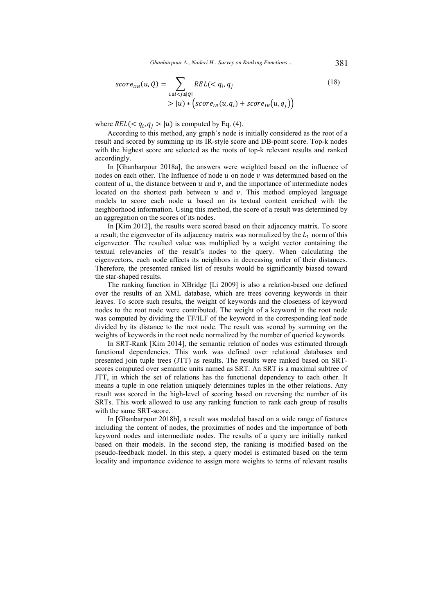*Ghanbarpour A., Naderi H.: Survey on Ranking Functions ...* 381

$$
score_{DB}(u, Q) = \sum_{1 \le i < j \le |Q|} REL < q_i, q_j
$$
\n
$$
> |u) * \left(score_{IR}(u, q_i) + score_{IR}(u, q_j)\right)
$$
\n<sup>(18)</sup>

where  $REL( $q_i, q_j > |u)$  is computed by Eq. (4).$ 

According to this method, any graph's node is initially considered as the root of a result and scored by summing up its IR-style score and DB-point score. Top-k nodes with the highest score are selected as the roots of top-k relevant results and ranked accordingly.

In [Ghanbarpour 2018a], the answers were weighted based on the influence of nodes on each other. The Influence of node  $u$  on node  $v$  was determined based on the content of  $u$ , the distance between  $u$  and  $v$ , and the importance of intermediate nodes located on the shortest path between  $u$  and  $v$ . This method employed language models to score each node  $u$  based on its textual content enriched with the neighborhood information. Using this method, the score of a result was determined by an aggregation on the scores of its nodes.

In [Kim 2012], the results were scored based on their adjacency matrix. To score a result, the eigenvector of its adjacency matrix was normalized by the  $L_1$  norm of this eigenvector. The resulted value was multiplied by a weight vector containing the textual relevancies of the result's nodes to the query. When calculating the eigenvectors, each node affects its neighbors in decreasing order of their distances. Therefore, the presented ranked list of results would be significantly biased toward the star-shaped results.

The ranking function in XBridge [Li 2009] is also a relation-based one defined over the results of an XML database, which are trees covering keywords in their leaves. To score such results, the weight of keywords and the closeness of keyword nodes to the root node were contributed. The weight of a keyword in the root node was computed by dividing the TF/ILF of the keyword in the corresponding leaf node divided by its distance to the root node. The result was scored by summing on the weights of keywords in the root node normalized by the number of queried keywords.

In SRT-Rank [Kim 2014], the semantic relation of nodes was estimated through functional dependencies. This work was defined over relational databases and presented join tuple trees (JTT) as results. The results were ranked based on SRTscores computed over semantic units named as SRT. An SRT is a maximal subtree of JTT, in which the set of relations has the functional dependency to each other. It means a tuple in one relation uniquely determines tuples in the other relations. Any result was scored in the high-level of scoring based on reversing the number of its SRTs. This work allowed to use any ranking function to rank each group of results with the same SRT-score.

In [Ghanbarpour 2018b], a result was modeled based on a wide range of features including the content of nodes, the proximities of nodes and the importance of both keyword nodes and intermediate nodes. The results of a query are initially ranked based on their models. In the second step, the ranking is modified based on the pseudo-feedback model. In this step, a query model is estimated based on the term locality and importance evidence to assign more weights to terms of relevant results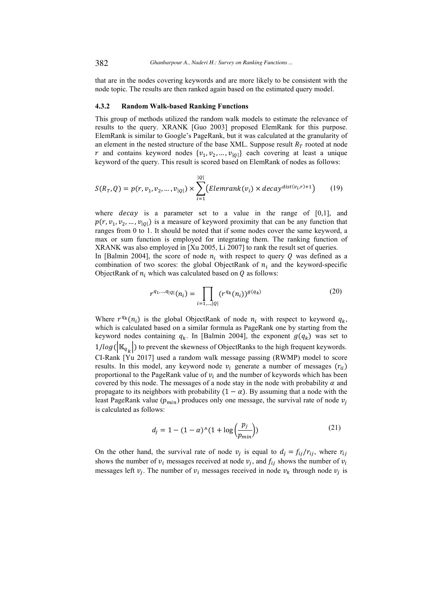that are in the nodes covering keywords and are more likely to be consistent with the node topic. The results are then ranked again based on the estimated query model.

### **4.3.2 Random Walk-based Ranking Functions**

This group of methods utilized the random walk models to estimate the relevance of results to the query. XRANK [Guo 2003] proposed ElemRank for this purpose. ElemRank is similar to Google's PageRank, but it was calculated at the granularity of an element in the nested structure of the base XML. Suppose result  $R<sub>T</sub>$  rooted at node r and contains keyword nodes  $\{v_1, v_2, ..., v_{|Q|}\}$  each covering at least a unique keyword of the query. This result is scored based on ElemRank of nodes as follows:

$$
S(R_T, Q) = p(r, v_1, v_2, ..., v_{|Q|}) \times \sum_{i=1}^{|Q|} (Elementank(v_i) \times decay^{dist(v_i, r) + 1})
$$
(19)

where  $decay$  is a parameter set to a value in the range of  $[0,1]$ , and  $p(r, v_1, v_2, ..., v_{|Q|})$  is a measure of keyword proximity that can be any function that ranges from 0 to 1. It should be noted that if some nodes cover the same keyword, a max or sum function is employed for integrating them. The ranking function of XRANK was also employed in [Xu 2005, Li 2007] to rank the result set of queries. In [Balmin 2004], the score of node  $n_i$  with respect to query Q was defined as a combination of two scores: the global ObjectRank of  $n_i$  and the keyword-specific ObjectRank of  $n_i$  which was calculated based on  $Q$  as follows:

$$
r^{q_1,\dots,q_{|Q|}}(n_i) = \prod_{i=1,\dots,|Q|} (r^{q_k}(n_i))^{g(q_k)} \tag{20}
$$

Where  $r^{q_k}(n_i)$  is the global ObjectRank of node  $n_i$  with respect to keyword  $q_k$ , which is calculated based on a similar formula as PageRank one by starting from the keyword nodes containing  $q_k$ . In [Balmin 2004], the exponent  $g(q_k)$  was set to  $1/log(|K_{q_k}|)$  to prevent the skewness of ObjectRanks to the high frequent keywords. CI-Rank [Yu 2017] used a random walk message passing (RWMP) model to score results. In this model, any keyword node  $v_i$  generate a number of messages  $(r_{ii})$ proportional to the PageRank value of  $v_i$  and the number of keywords which has been covered by this node. The messages of a node stay in the node with probability  $\alpha$  and propagate to its neighbors with probability  $(1 - \alpha)$ . By assuming that a node with the least PageRank value ( $p_{min}$ ) produces only one message, the survival rate of node  $v_i$ is calculated as follows:

$$
d_j = 1 - (1 - \alpha)^{\hat{}} (1 + \log \left( \frac{p_j}{p_{\min}} \right))
$$
 (21)

On the other hand, the survival rate of node  $v_j$  is equal to  $d_j = f_{ij}/r_{ij}$ , where  $r_{ij}$ shows the number of  $v_i$  messages received at node  $v_j$ , and  $f_{ij}$  shows the number of  $v_i$ messages left  $v_j$ . The number of  $v_i$  messages received in node  $v_k$  through node  $v_j$  is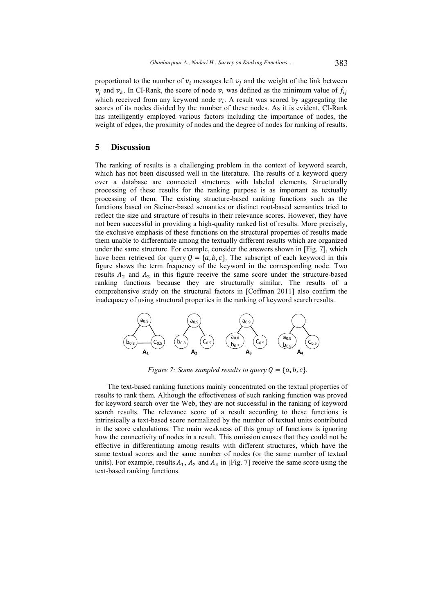proportional to the number of  $v_i$  messages left  $v_j$  and the weight of the link between  $v_j$  and  $v_k$ . In CI-Rank, the score of node  $v_i$  was defined as the minimum value of  $f_{ij}$ which received from any keyword node  $v_i$ . A result was scored by aggregating the scores of its nodes divided by the number of these nodes. As it is evident, CI-Rank has intelligently employed various factors including the importance of nodes, the weight of edges, the proximity of nodes and the degree of nodes for ranking of results.

# **5 Discussion**

The ranking of results is a challenging problem in the context of keyword search, which has not been discussed well in the literature. The results of a keyword query over a database are connected structures with labeled elements. Structurally processing of these results for the ranking purpose is as important as textually processing of them. The existing structure-based ranking functions such as the functions based on Steiner-based semantics or distinct root-based semantics tried to reflect the size and structure of results in their relevance scores. However, they have not been successful in providing a high-quality ranked list of results. More precisely, the exclusive emphasis of these functions on the structural properties of results made them unable to differentiate among the textually different results which are organized under the same structure. For example, consider the answers shown in [Fig. 7], which have been retrieved for query  $Q = \{a, b, c\}$ . The subscript of each keyword in this figure shows the term frequency of the keyword in the corresponding node. Two results  $A_2$  and  $A_3$  in this figure receive the same score under the structure-based ranking functions because they are structurally similar. The results of a comprehensive study on the structural factors in [Coffman 2011] also confirm the inadequacy of using structural properties in the ranking of keyword search results.



*Figure 7: Some sampled results to query*  $Q = \{a, b, c\}$ *.* 

The text-based ranking functions mainly concentrated on the textual properties of results to rank them. Although the effectiveness of such ranking function was proved for keyword search over the Web, they are not successful in the ranking of keyword search results. The relevance score of a result according to these functions is intrinsically a text-based score normalized by the number of textual units contributed in the score calculations. The main weakness of this group of functions is ignoring how the connectivity of nodes in a result. This omission causes that they could not be effective in differentiating among results with different structures, which have the same textual scores and the same number of nodes (or the same number of textual units). For example, results  $A_1$ ,  $A_2$  and  $A_4$  in [Fig. 7] receive the same score using the text-based ranking functions.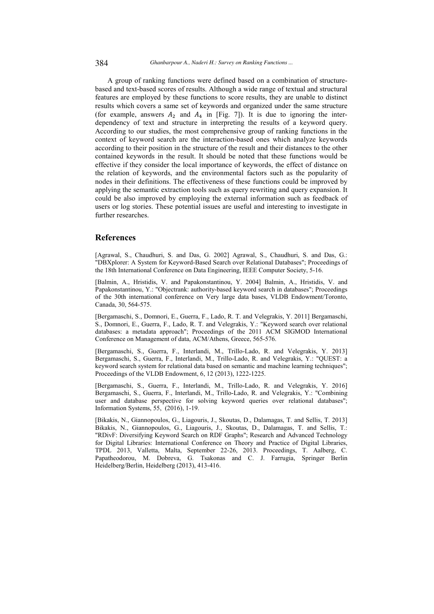A group of ranking functions were defined based on a combination of structurebased and text-based scores of results. Although a wide range of textual and structural features are employed by these functions to score results, they are unable to distinct results which covers a same set of keywords and organized under the same structure (for example, answers  $A_2$  and  $A_4$  in [Fig. 7]). It is due to ignoring the interdependency of text and structure in interpreting the results of a keyword query. According to our studies, the most comprehensive group of ranking functions in the context of keyword search are the interaction-based ones which analyze keywords according to their position in the structure of the result and their distances to the other contained keywords in the result. It should be noted that these functions would be effective if they consider the local importance of keywords, the effect of distance on the relation of keywords, and the environmental factors such as the popularity of nodes in their definitions. The effectiveness of these functions could be improved by applying the semantic extraction tools such as query rewriting and query expansion. It could be also improved by employing the external information such as feedback of users or log stories. These potential issues are useful and interesting to investigate in further researches.

# **References**

[Agrawal, S., Chaudhuri, S. and Das, G. 2002] Agrawal, S., Chaudhuri, S. and Das, G.: "DBXplorer: A System for Keyword-Based Search over Relational Databases"; Proceedings of the 18th International Conference on Data Engineering, IEEE Computer Society, 5-16.

[Balmin, A., Hristidis, V. and Papakonstantinou, Y. 2004] Balmin, A., Hristidis, V. and Papakonstantinou, Y.: "Objectrank: authority-based keyword search in databases"; Proceedings of the 30th international conference on Very large data bases, VLDB Endowment/Toronto, Canada, 30, 564-575.

[Bergamaschi, S., Domnori, E., Guerra, F., Lado, R. T. and Velegrakis, Y. 2011] Bergamaschi, S., Domnori, E., Guerra, F., Lado, R. T. and Velegrakis, Y.: "Keyword search over relational databases: a metadata approach"; Proceedings of the 2011 ACM SIGMOD International Conference on Management of data, ACM/Athens, Greece, 565-576.

[Bergamaschi, S., Guerra, F., Interlandi, M., Trillo-Lado, R. and Velegrakis, Y. 2013] Bergamaschi, S., Guerra, F., Interlandi, M., Trillo-Lado, R. and Velegrakis, Y.: "QUEST: a keyword search system for relational data based on semantic and machine learning techniques"; Proceedings of the VLDB Endowment, 6, 12 (2013), 1222-1225.

[Bergamaschi, S., Guerra, F., Interlandi, M., Trillo-Lado, R. and Velegrakis, Y. 2016] Bergamaschi, S., Guerra, F., Interlandi, M., Trillo-Lado, R. and Velegrakis, Y.: "Combining user and database perspective for solving keyword queries over relational databases"; Information Systems, 55, (2016), 1-19.

[Bikakis, N., Giannopoulos, G., Liagouris, J., Skoutas, D., Dalamagas, T. and Sellis, T. 2013] Bikakis, N., Giannopoulos, G., Liagouris, J., Skoutas, D., Dalamagas, T. and Sellis, T.: "RDivF: Diversifying Keyword Search on RDF Graphs"; Research and Advanced Technology for Digital Libraries: International Conference on Theory and Practice of Digital Libraries, TPDL 2013, Valletta, Malta, September 22-26, 2013. Proceedings, T. Aalberg, C. Papatheodorou, M. Dobreva, G. Tsakonas and C. J. Farrugia, Springer Berlin Heidelberg/Berlin, Heidelberg (2013), 413-416.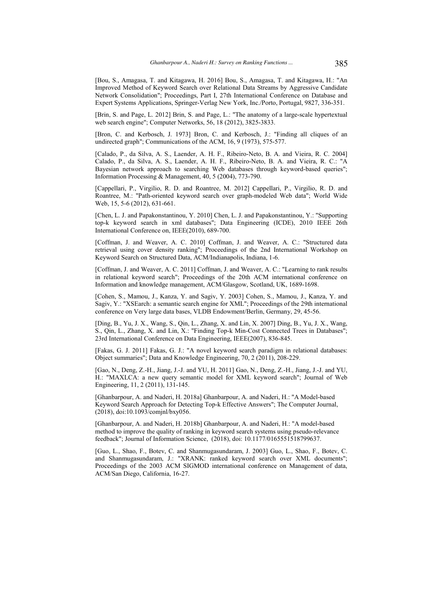[Bou, S., Amagasa, T. and Kitagawa, H. 2016] Bou, S., Amagasa, T. and Kitagawa, H.: "An Improved Method of Keyword Search over Relational Data Streams by Aggressive Candidate Network Consolidation"; Proceedings, Part I, 27th International Conference on Database and Expert Systems Applications, Springer-Verlag New York, Inc./Porto, Portugal, 9827, 336-351.

[Brin, S. and Page, L. 2012] Brin, S. and Page, L.: "The anatomy of a large-scale hypertextual web search engine"; Computer Networks, 56, 18 (2012), 3825-3833.

[Bron, C. and Kerbosch, J. 1973] Bron, C. and Kerbosch, J.: "Finding all cliques of an undirected graph"; Communications of the ACM, 16, 9 (1973), 575-577.

[Calado, P., da Silva, A. S., Laender, A. H. F., Ribeiro-Neto, B. A. and Vieira, R. C. 2004] Calado, P., da Silva, A. S., Laender, A. H. F., Ribeiro-Neto, B. A. and Vieira, R. C.: "A Bayesian network approach to searching Web databases through keyword-based queries"; Information Processing & Management, 40, 5 (2004), 773-790.

[Cappellari, P., Virgilio, R. D. and Roantree, M. 2012] Cappellari, P., Virgilio, R. D. and Roantree, M.: "Path-oriented keyword search over graph-modeled Web data"; World Wide Web, 15, 5-6 (2012), 631-661.

[Chen, L. J. and Papakonstantinou, Y. 2010] Chen, L. J. and Papakonstantinou, Y.: "Supporting top-k keyword search in xml databases"; Data Engineering (ICDE), 2010 IEEE 26th International Conference on, IEEE(2010), 689-700.

[Coffman, J. and Weaver, A. C. 2010] Coffman, J. and Weaver, A. C.: "Structured data retrieval using cover density ranking"; Proceedings of the 2nd International Workshop on Keyword Search on Structured Data, ACM/Indianapolis, Indiana, 1-6.

[Coffman, J. and Weaver, A. C. 2011] Coffman, J. and Weaver, A. C.: "Learning to rank results in relational keyword search"; Proceedings of the 20th ACM international conference on Information and knowledge management, ACM/Glasgow, Scotland, UK, 1689-1698.

[Cohen, S., Mamou, J., Kanza, Y. and Sagiv, Y. 2003] Cohen, S., Mamou, J., Kanza, Y. and Sagiv, Y.: "XSEarch: a semantic search engine for XML"; Proceedings of the 29th international conference on Very large data bases, VLDB Endowment/Berlin, Germany, 29, 45-56.

[Ding, B., Yu, J. X., Wang, S., Qin, L., Zhang, X. and Lin, X. 2007] Ding, B., Yu, J. X., Wang, S., Qin, L., Zhang, X. and Lin, X.: "Finding Top-k Min-Cost Connected Trees in Databases": 23rd International Conference on Data Engineering, IEEE(2007), 836-845.

[Fakas, G. J. 2011] Fakas, G. J.: "A novel keyword search paradigm in relational databases: Object summaries"; Data and Knowledge Engineering, 70, 2 (2011), 208-229.

[Gao, N., Deng, Z.-H., Jiang, J.-J. and YU, H. 2011] Gao, N., Deng, Z.-H., Jiang, J.-J. and YU, H.: "MAXLCA: a new query semantic model for XML keyword search"; Journal of Web Engineering, 11, 2 (2011), 131-145.

[Ghanbarpour, A. and Naderi, H. 2018a] Ghanbarpour, A. and Naderi, H.: "A Model-based Keyword Search Approach for Detecting Top-k Effective Answers"; The Computer Journal, (2018), doi:10.1093/comjnl/bxy056.

[Ghanbarpour, A. and Naderi, H. 2018b] Ghanbarpour, A. and Naderi, H.: "A model-based method to improve the quality of ranking in keyword search systems using pseudo-relevance feedback"; Journal of Information Science, (2018), doi: 10.1177/0165551518799637.

[Guo, L., Shao, F., Botev, C. and Shanmugasundaram, J. 2003] Guo, L., Shao, F., Botev, C. and Shanmugasundaram, J.: "XRANK: ranked keyword search over XML documents"; Proceedings of the 2003 ACM SIGMOD international conference on Management of data, ACM/San Diego, California, 16-27.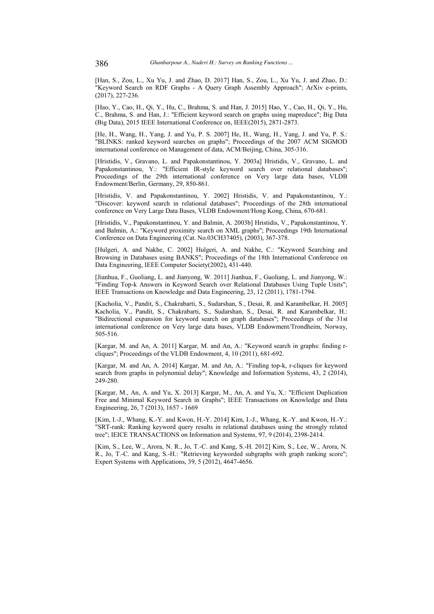[Han, S., Zou, L., Xu Yu, J. and Zhao, D. 2017] Han, S., Zou, L., Xu Yu, J. and Zhao, D.: "Keyword Search on RDF Graphs - A Query Graph Assembly Approach"; ArXiv e-prints, (2017), 227-236.

[Hao, Y., Cao, H., Qi, Y., Hu, C., Brahma, S. and Han, J. 2015] Hao, Y., Cao, H., Qi, Y., Hu, C., Brahma, S. and Han, J.: "Efficient keyword search on graphs using mapreduce"; Big Data (Big Data), 2015 IEEE International Conference on, IEEE(2015), 2871-2873.

[He, H., Wang, H., Yang, J. and Yu, P. S. 2007] He, H., Wang, H., Yang, J. and Yu, P. S.: "BLINKS: ranked keyword searches on graphs"; Proceedings of the 2007 ACM SIGMOD international conference on Management of data, ACM/Beijing, China, 305-316.

[Hristidis, V., Gravano, L. and Papakonstantinou, Y. 2003a] Hristidis, V., Gravano, L. and Papakonstantinou, Y.: "Efficient IR-style keyword search over relational databases"; Proceedings of the 29th international conference on Very large data bases, VLDB Endowment/Berlin, Germany, 29, 850-861.

[Hristidis, V. and Papakonstantinou, Y. 2002] Hristidis, V. and Papakonstantinou, Y.: "Discover: keyword search in relational databases"; Proceedings of the 28th international conference on Very Large Data Bases, VLDB Endowment/Hong Kong, China, 670-681.

[Hristidis, V., Papakonstantinou, Y. and Balmin, A. 2003b] Hristidis, V., Papakonstantinou, Y. and Balmin, A.: "Keyword proximity search on XML graphs"; Proceedings 19th International Conference on Data Engineering (Cat. No.03CH37405), (2003), 367-378.

[Hulgeri, A. and Nakhe, C. 2002] Hulgeri, A. and Nakhe, C.: "Keyword Searching and Browsing in Databases using BANKS"; Proceedings of the 18th International Conference on Data Engineering, IEEE Computer Society(2002), 431-440.

[Jianhua, F., Guoliang, L. and Jianyong, W. 2011] Jianhua, F., Guoliang, L. and Jianyong, W.: "Finding Top-k Answers in Keyword Search over Relational Databases Using Tuple Units"; IEEE Transactions on Knowledge and Data Engineering, 23, 12 (2011), 1781-1794.

[Kacholia, V., Pandit, S., Chakrabarti, S., Sudarshan, S., Desai, R. and Karambelkar, H. 2005] Kacholia, V., Pandit, S., Chakrabarti, S., Sudarshan, S., Desai, R. and Karambelkar, H.: "Bidirectional expansion for keyword search on graph databases"; Proceedings of the 31st international conference on Very large data bases, VLDB Endowment/Trondheim, Norway, 505-516.

[Kargar, M. and An, A. 2011] Kargar, M. and An, A.: "Keyword search in graphs: finding rcliques"; Proceedings of the VLDB Endowment, 4, 10 (2011), 681-692.

[Kargar, M. and An, A. 2014] Kargar, M. and An, A.: "Finding top-k, r-cliques for keyword search from graphs in polynomial delay"; Knowledge and Information Systems, 43, 2 (2014), 249-280.

[Kargar, M., An, A. and Yu, X. 2013] Kargar, M., An, A. and Yu, X.: "Efficient Duplication Free and Minimal Keyword Search in Graphs"; IEEE Transactions on Knowledge and Data Engineering, 26, 7 (2013), 1657 - 1669

[Kim, I.-J., Whang, K.-Y. and Kwon, H.-Y. 2014] Kim, I.-J., Whang, K.-Y. and Kwon, H.-Y.: "SRT-rank: Ranking keyword query results in relational databases using the strongly related tree"; IEICE TRANSACTIONS on Information and Systems, 97, 9 (2014), 2398-2414.

[Kim, S., Lee, W., Arora, N. R., Jo, T.-C. and Kang, S.-H. 2012] Kim, S., Lee, W., Arora, N. R., Jo, T.-C. and Kang, S.-H.: "Retrieving keyworded subgraphs with graph ranking score"; Expert Systems with Applications, 39, 5 (2012), 4647-4656.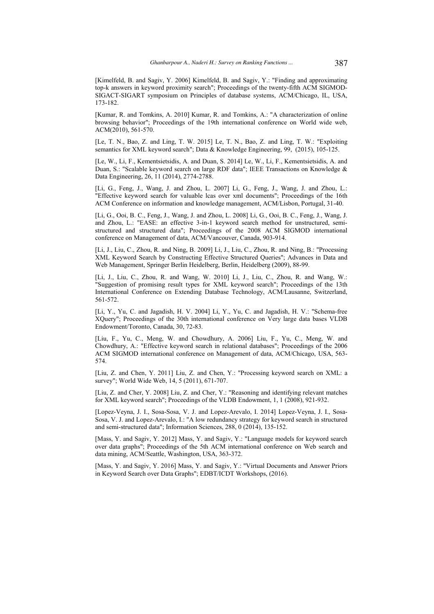[Kimelfeld, B. and Sagiv, Y. 2006] Kimelfeld, B. and Sagiv, Y.: "Finding and approximating top-k answers in keyword proximity search"; Proceedings of the twenty-fifth ACM SIGMOD-SIGACT-SIGART symposium on Principles of database systems, ACM/Chicago, IL, USA, 173-182.

[Kumar, R. and Tomkins, A. 2010] Kumar, R. and Tomkins, A.: "A characterization of online browsing behavior"; Proceedings of the 19th international conference on World wide web, ACM(2010), 561-570.

[Le, T. N., Bao, Z. and Ling, T. W. 2015] Le, T. N., Bao, Z. and Ling, T. W.: "Exploiting semantics for XML keyword search"; Data & Knowledge Engineering, 99, (2015), 105-125.

[Le, W., Li, F., Kementsietsidis, A. and Duan, S. 2014] Le, W., Li, F., Kementsietsidis, A. and Duan, S.: "Scalable keyword search on large RDF data"; IEEE Transactions on Knowledge & Data Engineering, 26, 11 (2014), 2774-2788.

[Li, G., Feng, J., Wang, J. and Zhou, L. 2007] Li, G., Feng, J., Wang, J. and Zhou, L.: "Effective keyword search for valuable lcas over xml documents"; Proceedings of the 16th ACM Conference on information and knowledge management, ACM/Lisbon, Portugal, 31-40.

[Li, G., Ooi, B. C., Feng, J., Wang, J. and Zhou, L. 2008] Li, G., Ooi, B. C., Feng, J., Wang, J. and Zhou, L.: "EASE: an effective 3-in-1 keyword search method for unstructured, semistructured and structured data"; Proceedings of the 2008 ACM SIGMOD international conference on Management of data, ACM/Vancouver, Canada, 903-914.

[Li, J., Liu, C., Zhou, R. and Ning, B. 2009] Li, J., Liu, C., Zhou, R. and Ning, B.: "Processing XML Keyword Search by Constructing Effective Structured Queries"; Advances in Data and Web Management, Springer Berlin Heidelberg, Berlin, Heidelberg (2009), 88-99.

[Li, J., Liu, C., Zhou, R. and Wang, W. 2010] Li, J., Liu, C., Zhou, R. and Wang, W.: "Suggestion of promising result types for XML keyword search"; Proceedings of the 13th International Conference on Extending Database Technology, ACM/Lausanne, Switzerland, 561-572.

[Li, Y., Yu, C. and Jagadish, H. V. 2004] Li, Y., Yu, C. and Jagadish, H. V.: "Schema-free XQuery"; Proceedings of the 30th international conference on Very large data bases VLDB Endowment/Toronto, Canada, 30, 72-83.

[Liu, F., Yu, C., Meng, W. and Chowdhury, A. 2006] Liu, F., Yu, C., Meng, W. and Chowdhury, A.: "Effective keyword search in relational databases"; Proceedings of the 2006 ACM SIGMOD international conference on Management of data, ACM/Chicago, USA, 563- 574.

[Liu, Z. and Chen, Y. 2011] Liu, Z. and Chen, Y.: "Processing keyword search on XML: a survey"; World Wide Web, 14, 5 (2011), 671-707.

[Liu, Z. and Cher, Y. 2008] Liu, Z. and Cher, Y.: "Reasoning and identifying relevant matches for XML keyword search"; Proceedings of the VLDB Endowment, 1, 1 (2008), 921-932.

[Lopez-Veyna, J. I., Sosa-Sosa, V. J. and Lopez-Arevalo, I. 2014] Lopez-Veyna, J. I., Sosa-Sosa, V. J. and Lopez-Arevalo, I.: "A low redundancy strategy for keyword search in structured and semi-structured data"; Information Sciences, 288, 0 (2014), 135-152.

[Mass, Y. and Sagiv, Y. 2012] Mass, Y. and Sagiv, Y.: "Language models for keyword search over data graphs"; Proceedings of the 5th ACM international conference on Web search and data mining, ACM/Seattle, Washington, USA, 363-372.

[Mass, Y. and Sagiv, Y. 2016] Mass, Y. and Sagiv, Y.: "Virtual Documents and Answer Priors in Keyword Search over Data Graphs"; EDBT/ICDT Workshops, (2016).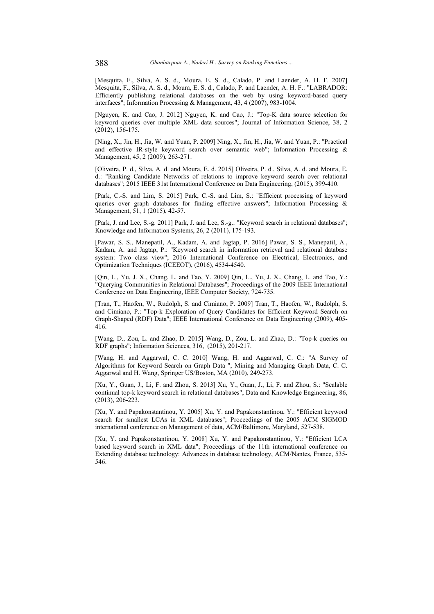[Mesquita, F., Silva, A. S. d., Moura, E. S. d., Calado, P. and Laender, A. H. F. 2007] Mesquita, F., Silva, A. S. d., Moura, E. S. d., Calado, P. and Laender, A. H. F.: "LABRADOR: Efficiently publishing relational databases on the web by using keyword-based query interfaces"; Information Processing & Management, 43, 4 (2007), 983-1004.

[Nguyen, K. and Cao, J. 2012] Nguyen, K. and Cao, J.: "Top-K data source selection for keyword queries over multiple XML data sources"; Journal of Information Science, 38, 2 (2012), 156-175.

[Ning, X., Jin, H., Jia, W. and Yuan, P. 2009] Ning, X., Jin, H., Jia, W. and Yuan, P.: "Practical and effective IR-style keyword search over semantic web"; Information Processing & Management, 45, 2 (2009), 263-271.

[Oliveira, P. d., Silva, A. d. and Moura, E. d. 2015] Oliveira, P. d., Silva, A. d. and Moura, E. d.: "Ranking Candidate Networks of relations to improve keyword search over relational databases"; 2015 IEEE 31st International Conference on Data Engineering, (2015), 399-410.

[Park, C.-S. and Lim, S. 2015] Park, C.-S. and Lim, S.: "Efficient processing of keyword queries over graph databases for finding effective answers"; Information Processing & Management, 51, 1 (2015), 42-57.

[Park, J. and Lee, S.-g. 2011] Park, J. and Lee, S.-g.: "Keyword search in relational databases"; Knowledge and Information Systems, 26, 2 (2011), 175-193.

[Pawar, S. S., Manepatil, A., Kadam, A. and Jagtap, P. 2016] Pawar, S. S., Manepatil, A., Kadam, A. and Jagtap, P.: "Keyword search in information retrieval and relational database system: Two class view"; 2016 International Conference on Electrical, Electronics, and Optimization Techniques (ICEEOT), (2016), 4534-4540.

[Qin, L., Yu, J. X., Chang, L. and Tao, Y. 2009] Qin, L., Yu, J. X., Chang, L. and Tao, Y.: "Querying Communities in Relational Databases"; Proceedings of the 2009 IEEE International Conference on Data Engineering, IEEE Computer Society, 724-735.

[Tran, T., Haofen, W., Rudolph, S. and Cimiano, P. 2009] Tran, T., Haofen, W., Rudolph, S. and Cimiano, P.: "Top-k Exploration of Query Candidates for Efficient Keyword Search on Graph-Shaped (RDF) Data"; IEEE International Conference on Data Engineering (2009), 405- 416.

[Wang, D., Zou, L. and Zhao, D. 2015] Wang, D., Zou, L. and Zhao, D.: "Top-k queries on RDF graphs"; Information Sciences, 316, (2015), 201-217.

[Wang, H. and Aggarwal, C. C. 2010] Wang, H. and Aggarwal, C. C.: "A Survey of Algorithms for Keyword Search on Graph Data "; Mining and Managing Graph Data, C. C. Aggarwal and H. Wang, Springer US/Boston, MA (2010), 249-273.

[Xu, Y., Guan, J., Li, F. and Zhou, S. 2013] Xu, Y., Guan, J., Li, F. and Zhou, S.: "Scalable continual top-k keyword search in relational databases"; Data and Knowledge Engineering, 86, (2013), 206-223.

[Xu, Y. and Papakonstantinou, Y. 2005] Xu, Y. and Papakonstantinou, Y.: "Efficient keyword search for smallest LCAs in XML databases"; Proceedings of the 2005 ACM SIGMOD international conference on Management of data, ACM/Baltimore, Maryland, 527-538.

[Xu, Y. and Papakonstantinou, Y. 2008] Xu, Y. and Papakonstantinou, Y.: "Efficient LCA based keyword search in XML data"; Proceedings of the 11th international conference on Extending database technology: Advances in database technology, ACM/Nantes, France, 535- 546.